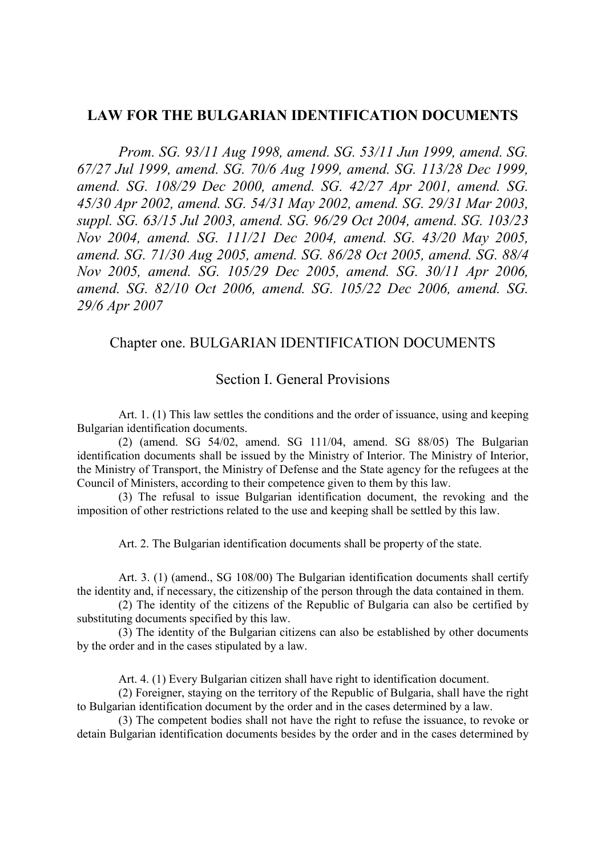### LAW FOR THE BULGARIAN IDENTIFICATION DOCUMENTS

Prom. SG. 93/11 Aug 1998, amend. SG. 53/11 Jun 1999, amend. SG. 67/27 Jul 1999, amend. SG. 70/6 Aug 1999, amend. SG. 113/28 Dec 1999, amend. SG. 108/29 Dec 2000, amend. SG. 42/27 Apr 2001, amend. SG. 45/30 Apr 2002, amend. SG. 54/31 May 2002, amend. SG. 29/31 Mar 2003, suppl. SG. 63/15 Jul 2003, amend. SG. 96/29 Oct 2004, amend. SG. 103/23 Nov 2004, amend. SG. 111/21 Dec 2004, amend. SG. 43/20 May 2005, amend. SG. 71/30 Aug 2005, amend. SG. 86/28 Oct 2005, amend. SG. 88/4 Nov 2005, amend. SG. 105/29 Dec 2005, amend. SG. 30/11 Apr 2006, amend. SG. 82/10 Oct 2006, amend. SG. 105/22 Dec 2006, amend. SG. 29/6 Apr 2007

## Chapter one. BULGARIAN IDENTIFICATION DOCUMENTS

### Section I. General Provisions

Art. 1. (1) This law settles the conditions and the order of issuance, using and keeping Bulgarian identification documents.

(2) (amend. SG 54/02, amend. SG 111/04, amend. SG 88/05) The Bulgarian identification documents shall be issued by the Ministry of Interior. The Ministry of Interior, the Ministry of Transport, the Ministry of Defense and the State agency for the refugees at the Council of Ministers, according to their competence given to them by this law.

(3) The refusal to issue Bulgarian identification document, the revoking and the imposition of other restrictions related to the use and keeping shall be settled by this law.

Art. 2. The Bulgarian identification documents shall be property of the state.

Art. 3. (1) (amend., SG 108/00) The Bulgarian identification documents shall certify the identity and, if necessary, the citizenship of the person through the data contained in them.

(2) The identity of the citizens of the Republic of Bulgaria can also be certified by substituting documents specified by this law.

(3) The identity of the Bulgarian citizens can also be established by other documents by the order and in the cases stipulated by a law.

Art. 4. (1) Every Bulgarian citizen shall have right to identification document.

(2) Foreigner, staying on the territory of the Republic of Bulgaria, shall have the right to Bulgarian identification document by the order and in the cases determined by a law.

(3) The competent bodies shall not have the right to refuse the issuance, to revoke or detain Bulgarian identification documents besides by the order and in the cases determined by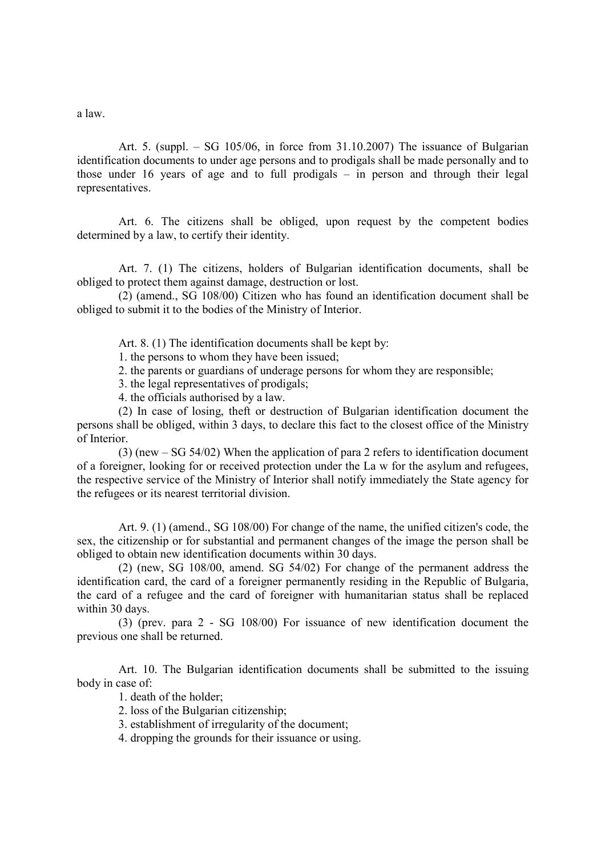a law.

Art. 5. (suppl. – SG 105/06, in force from 31.10.2007) The issuance of Bulgarian identification documents to under age persons and to prodigals shall be made personally and to those under 16 years of age and to full prodigals – in person and through their legal representatives.

Art. 6. The citizens shall be obliged, upon request by the competent bodies determined by a law, to certify their identity.

Art. 7. (1) The citizens, holders of Bulgarian identification documents, shall be obliged to protect them against damage, destruction or lost.

(2) (amend., SG 108/00) Citizen who has found an identification document shall be obliged to submit it to the bodies of the Ministry of Interior.

Art. 8. (1) The identification documents shall be kept by:

1. the persons to whom they have been issued;

2. the parents or guardians of underage persons for whom they are responsible;

3. the legal representatives of prodigals;

4. the officials authorised by a law.

(2) In case of losing, theft or destruction of Bulgarian identification document the persons shall be obliged, within 3 days, to declare this fact to the closest office of the Ministry of Interior.

(3) (new – SG 54/02) When the application of para 2 refers to identification document of a foreigner, looking for or received protection under the La w for the asylum and refugees, the respective service of the Ministry of Interior shall notify immediately the State agency for the refugees or its nearest territorial division.

Art. 9. (1) (amend., SG 108/00) For change of the name, the unified citizen's code, the sex, the citizenship or for substantial and permanent changes of the image the person shall be obliged to obtain new identification documents within 30 days.

(2) (new, SG 108/00, amend. SG 54/02) For change of the permanent address the identification card, the card of a foreigner permanently residing in the Republic of Bulgaria, the card of a refugee and the card of foreigner with humanitarian status shall be replaced within 30 days.

(3) (prev. para 2 - SG 108/00) For issuance of new identification document the previous one shall be returned.

Art. 10. The Bulgarian identification documents shall be submitted to the issuing body in case of:

1. death of the holder;

2. loss of the Bulgarian citizenship;

3. establishment of irregularity of the document;

4. dropping the grounds for their issuance or using.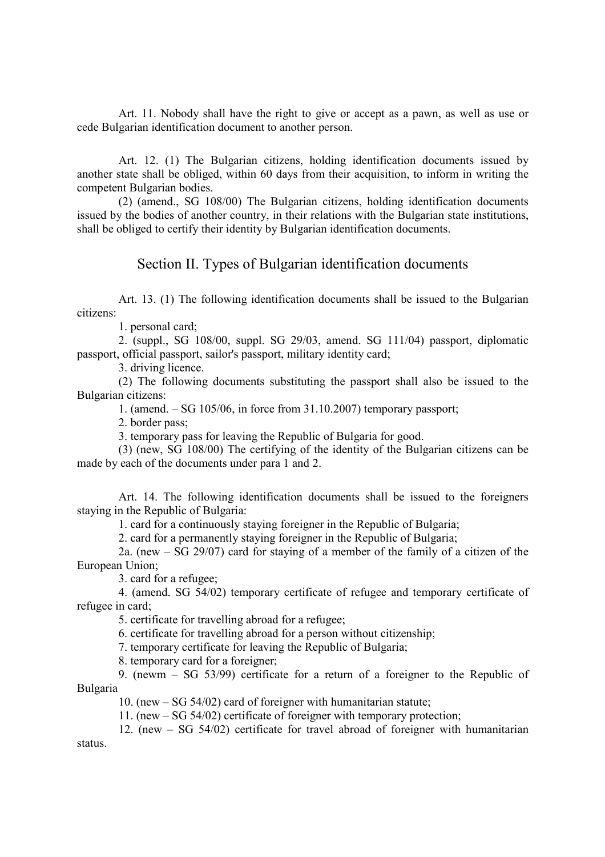Art. 11. Nobody shall have the right to give or accept as a pawn, as well as use or cede Bulgarian identification document to another person.

Art. 12. (1) The Bulgarian citizens, holding identification documents issued by another state shall be obliged, within 60 days from their acquisition, to inform in writing the competent Bulgarian bodies.

(2) (amend., SG 108/00) The Bulgarian citizens, holding identification documents issued by the bodies of another country, in their relations with the Bulgarian state institutions, shall be obliged to certify their identity by Bulgarian identification documents.

### Section II. Types of Bulgarian identification documents

Art. 13. (1) The following identification documents shall be issued to the Bulgarian citizens:

1. personal card;

2. (suppl., SG 108/00, suppl. SG 29/03, amend. SG 111/04) passport, diplomatic passport, official passport, sailor's passport, military identity card;

3. driving licence.

(2) The following documents substituting the passport shall also be issued to the Bulgarian citizens:

1. (amend. – SG 105/06, in force from 31.10.2007) temporary passport;

2. border pass;

3. temporary pass for leaving the Republic of Bulgaria for good.

(3) (new, SG 108/00) The certifying of the identity of the Bulgarian citizens can be made by each of the documents under para 1 and 2.

Art. 14. The following identification documents shall be issued to the foreigners staying in the Republic of Bulgaria:

1. card for a continuously staying foreigner in the Republic of Bulgaria;

2. card for a permanently staying foreigner in the Republic of Bulgaria;

2a. (new – SG 29/07) card for staying of a member of the family of a citizen of the European Union;

3. card for a refugee;

4. (amend. SG 54/02) temporary certificate of refugee and temporary certificate of refugee in card;

5. certificate for travelling abroad for a refugee;

6. certificate for travelling abroad for a person without citizenship;

7. temporary certificate for leaving the Republic of Bulgaria;

8. temporary card for a foreigner;

9. (newm – SG 53/99) certificate for a return of a foreigner to the Republic of Bulgaria

10. (new – SG 54/02) card of foreigner with humanitarian statute;

11. (new – SG 54/02) certificate of foreigner with temporary protection;

12. (new – SG 54/02) certificate for travel abroad of foreigner with humanitarian status.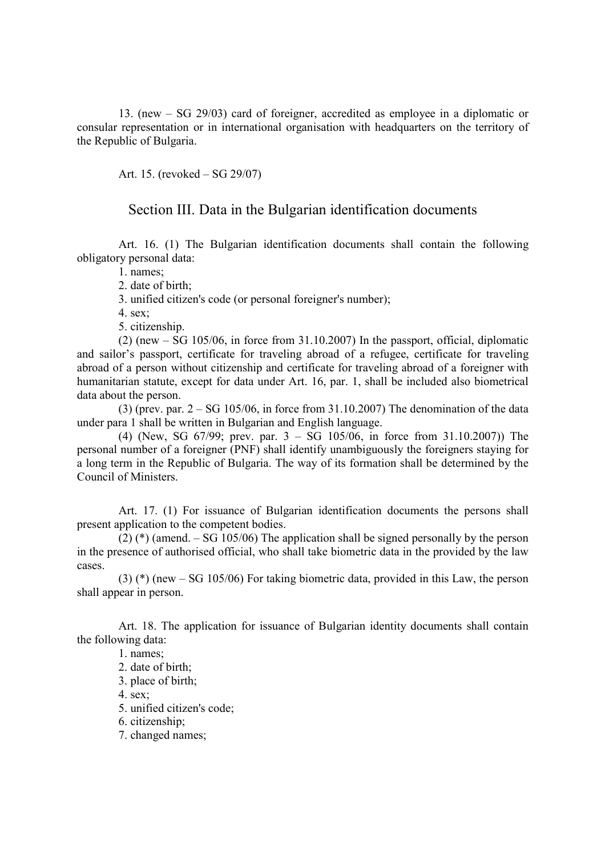13. (new – SG 29/03) card of foreigner, accredited as employee in a diplomatic or consular representation or in international organisation with headquarters on the territory of the Republic of Bulgaria.

Art. 15. (revoked – SG 29/07)

#### Section III. Data in the Bulgarian identification documents

Art. 16. (1) The Bulgarian identification documents shall contain the following obligatory personal data:

1. names;

2. date of birth:

3. unified citizen's code (or personal foreigner's number);

4. sex;

5. citizenship.

 $(2)$  (new – SG 105/06, in force from 31.10.2007) In the passport, official, diplomatic and sailor's passport, certificate for traveling abroad of a refugee, certificate for traveling abroad of a person without citizenship and certificate for traveling abroad of a foreigner with humanitarian statute, except for data under Art. 16, par. 1, shall be included also biometrical data about the person.

 $(3)$  (prev. par.  $2 - SG$  105/06, in force from 31.10.2007) The denomination of the data under para 1 shall be written in Bulgarian and English language.

(4) (New, SG 67/99; prev. par. 3 – SG 105/06, in force from 31.10.2007)) The personal number of a foreigner (PNF) shall identify unambiguously the foreigners staying for a long term in the Republic of Bulgaria. The way of its formation shall be determined by the Council of Ministers.

Art. 17. (1) For issuance of Bulgarian identification documents the persons shall present application to the competent bodies.

(2) (\*) (amend. – SG 105/06) The application shall be signed personally by the person in the presence of authorised official, who shall take biometric data in the provided by the law cases.

(3) (\*) (new – SG 105/06) For taking biometric data, provided in this Law, the person shall appear in person.

Art. 18. The application for issuance of Bulgarian identity documents shall contain the following data:

1. names;

2. date of birth;

3. place of birth;

4. sex;

5. unified citizen's code;

6. citizenship;

7. changed names;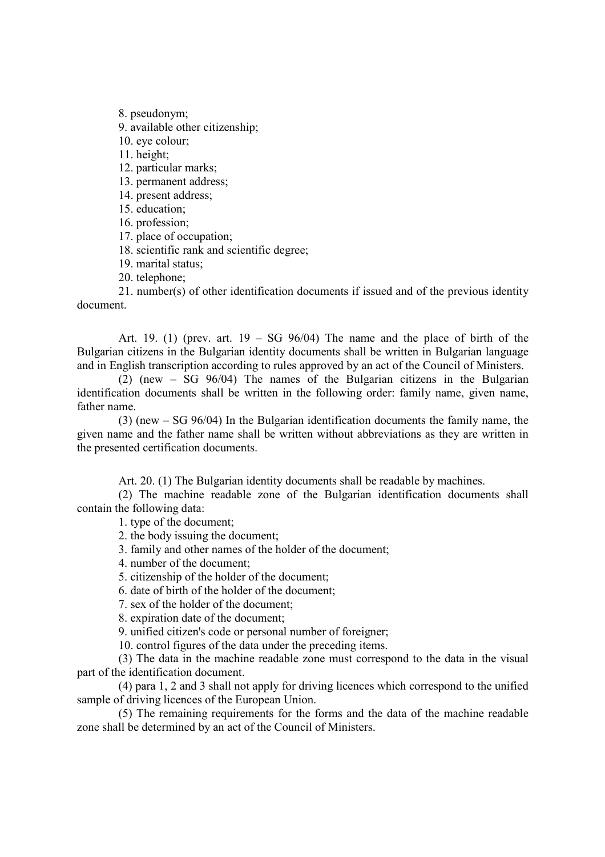8. pseudonym;

9. available other citizenship;

10. eye colour;

11. height;

12. particular marks;

13. permanent address;

14. present address;

15 education;

16. profession;

17. place of occupation;

18. scientific rank and scientific degree;

19. marital status;

20. telephone;

21. number(s) of other identification documents if issued and of the previous identity document.

Art. 19. (1) (prev. art.  $19 - SG$  96/04) The name and the place of birth of the Bulgarian citizens in the Bulgarian identity documents shall be written in Bulgarian language and in English transcription according to rules approved by an act of the Council of Ministers.

(2) (new – SG 96/04) The names of the Bulgarian citizens in the Bulgarian identification documents shall be written in the following order: family name, given name, father name.

(3) (new – SG 96/04) In the Bulgarian identification documents the family name, the given name and the father name shall be written without abbreviations as they are written in the presented certification documents.

Art. 20. (1) The Bulgarian identity documents shall be readable by machines.

(2) The machine readable zone of the Bulgarian identification documents shall contain the following data:

1. type of the document;

2. the body issuing the document;

3. family and other names of the holder of the document;

4. number of the document;

5. citizenship of the holder of the document;

6. date of birth of the holder of the document;

7. sex of the holder of the document;

8. expiration date of the document;

9. unified citizen's code or personal number of foreigner;

10. control figures of the data under the preceding items.

(3) The data in the machine readable zone must correspond to the data in the visual part of the identification document.

(4) para 1, 2 and 3 shall not apply for driving licences which correspond to the unified sample of driving licences of the European Union.

(5) The remaining requirements for the forms and the data of the machine readable zone shall be determined by an act of the Council of Ministers.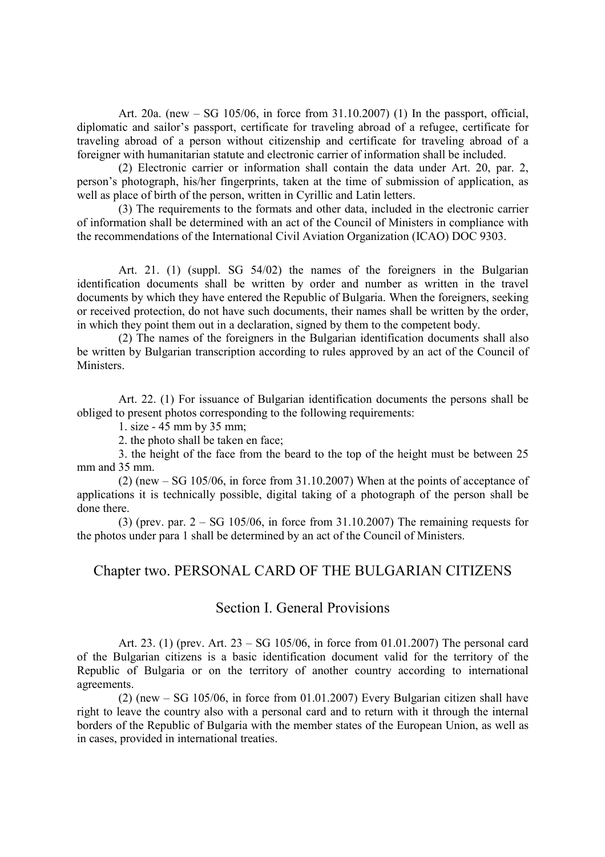Art. 20a. (new – SG 105/06, in force from 31.10.2007) (1) In the passport, official, diplomatic and sailor's passport, certificate for traveling abroad of a refugee, certificate for traveling abroad of a person without citizenship and certificate for traveling abroad of a foreigner with humanitarian statute and electronic carrier of information shall be included.

(2) Electronic carrier or information shall contain the data under Art. 20, par. 2, person's photograph, his/her fingerprints, taken at the time of submission of application, as well as place of birth of the person, written in Cyrillic and Latin letters.

(3) The requirements to the formats and other data, included in the electronic carrier of information shall be determined with an act of the Council of Ministers in compliance with the recommendations of the International Civil Aviation Organization (ICAO) DOC 9303.

Art. 21. (1) (suppl. SG 54/02) the names of the foreigners in the Bulgarian identification documents shall be written by order and number as written in the travel documents by which they have entered the Republic of Bulgaria. When the foreigners, seeking or received protection, do not have such documents, their names shall be written by the order, in which they point them out in a declaration, signed by them to the competent body.

(2) The names of the foreigners in the Bulgarian identification documents shall also be written by Bulgarian transcription according to rules approved by an act of the Council of Ministers.

Art. 22. (1) For issuance of Bulgarian identification documents the persons shall be obliged to present photos corresponding to the following requirements:

1. size - 45 mm by 35 mm;

2. the photo shall be taken en face;

3. the height of the face from the beard to the top of the height must be between 25 mm and 35 mm.

(2) (new – SG 105/06, in force from 31.10.2007) When at the points of acceptance of applications it is technically possible, digital taking of a photograph of the person shall be done there.

(3) (prev. par.  $2 - SG$  105/06, in force from 31.10.2007) The remaining requests for the photos under para 1 shall be determined by an act of the Council of Ministers.

#### Chapter two. PERSONAL CARD OF THE BULGARIAN CITIZENS

### Section I. General Provisions

Art. 23. (1) (prev. Art. 23 – SG 105/06, in force from 01.01.2007) The personal card of the Bulgarian citizens is a basic identification document valid for the territory of the Republic of Bulgaria or on the territory of another country according to international agreements.

(2) (new – SG 105/06, in force from 01.01.2007) Every Bulgarian citizen shall have right to leave the country also with a personal card and to return with it through the internal borders of the Republic of Bulgaria with the member states of the European Union, as well as in cases, provided in international treaties.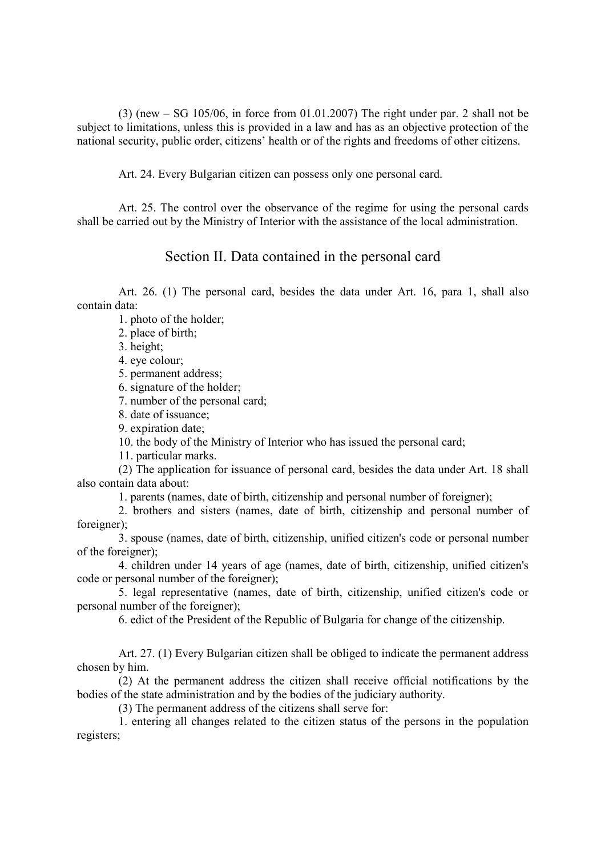(3) (new – SG 105/06, in force from 01.01.2007) The right under par. 2 shall not be subject to limitations, unless this is provided in a law and has as an objective protection of the national security, public order, citizens' health or of the rights and freedoms of other citizens.

Art. 24. Every Bulgarian citizen can possess only one personal card.

Art. 25. The control over the observance of the regime for using the personal cards shall be carried out by the Ministry of Interior with the assistance of the local administration.

### Section II. Data contained in the personal card

Art. 26. (1) The personal card, besides the data under Art. 16, para 1, shall also contain data:

1. photo of the holder;

2. place of birth;

3. height;

4. eye colour;

5. permanent address;

6. signature of the holder;

7. number of the personal card;

8. date of issuance;

9. expiration date;

10. the body of the Ministry of Interior who has issued the personal card;

11. particular marks.

(2) The application for issuance of personal card, besides the data under Art. 18 shall also contain data about:

1. parents (names, date of birth, citizenship and personal number of foreigner);

2. brothers and sisters (names, date of birth, citizenship and personal number of foreigner);

3. spouse (names, date of birth, citizenship, unified citizen's code or personal number of the foreigner);

4. children under 14 years of age (names, date of birth, citizenship, unified citizen's code or personal number of the foreigner);

5. legal representative (names, date of birth, citizenship, unified citizen's code or personal number of the foreigner);

6. edict of the President of the Republic of Bulgaria for change of the citizenship.

Art. 27. (1) Every Bulgarian citizen shall be obliged to indicate the permanent address chosen by him.

(2) At the permanent address the citizen shall receive official notifications by the bodies of the state administration and by the bodies of the judiciary authority.

(3) The permanent address of the citizens shall serve for:

1. entering all changes related to the citizen status of the persons in the population registers;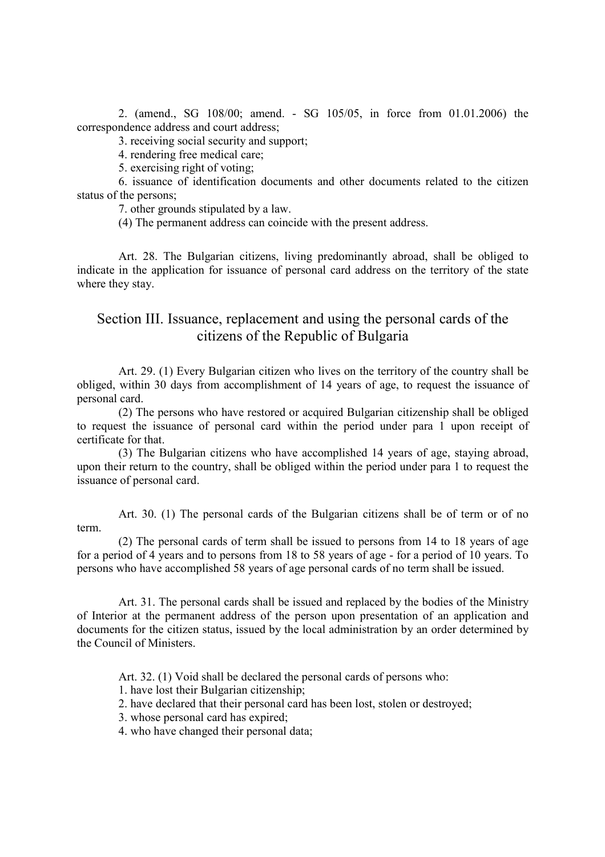2. (amend., SG 108/00; amend. - SG 105/05, in force from 01.01.2006) the correspondence address and court address;

3. receiving social security and support;

4. rendering free medical care;

5. exercising right of voting;

6. issuance of identification documents and other documents related to the citizen status of the persons;

7. other grounds stipulated by a law.

(4) The permanent address can coincide with the present address.

Art. 28. The Bulgarian citizens, living predominantly abroad, shall be obliged to indicate in the application for issuance of personal card address on the territory of the state where they stay.

### Section III. Issuance, replacement and using the personal cards of the citizens of the Republic of Bulgaria

Art. 29. (1) Every Bulgarian citizen who lives on the territory of the country shall be obliged, within 30 days from accomplishment of 14 years of age, to request the issuance of personal card.

(2) The persons who have restored or acquired Bulgarian citizenship shall be obliged to request the issuance of personal card within the period under para 1 upon receipt of certificate for that.

(3) The Bulgarian citizens who have accomplished 14 years of age, staying abroad, upon their return to the country, shall be obliged within the period under para 1 to request the issuance of personal card.

Art. 30. (1) The personal cards of the Bulgarian citizens shall be of term or of no term.

(2) The personal cards of term shall be issued to persons from 14 to 18 years of age for a period of 4 years and to persons from 18 to 58 years of age - for a period of 10 years. To persons who have accomplished 58 years of age personal cards of no term shall be issued.

Art. 31. The personal cards shall be issued and replaced by the bodies of the Ministry of Interior at the permanent address of the person upon presentation of an application and documents for the citizen status, issued by the local administration by an order determined by the Council of Ministers.

Art. 32. (1) Void shall be declared the personal cards of persons who:

1. have lost their Bulgarian citizenship;

2. have declared that their personal card has been lost, stolen or destroyed;

3. whose personal card has expired;

4. who have changed their personal data;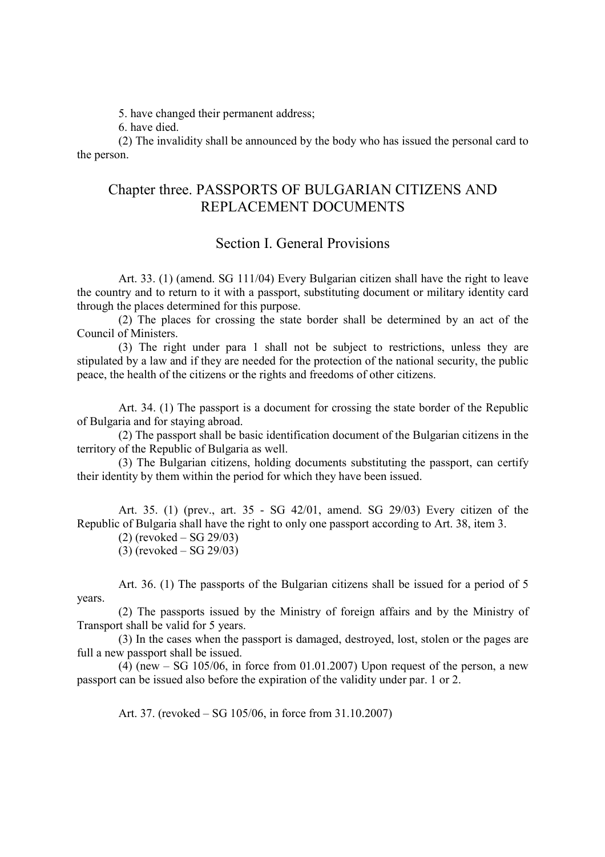5. have changed their permanent address;

6. have died.

(2) The invalidity shall be announced by the body who has issued the personal card to the person.

## Chapter three. PASSPORTS OF BULGARIAN CITIZENS AND REPLACEMENT DOCUMENTS

### Section I. General Provisions

Art. 33. (1) (amend. SG 111/04) Every Bulgarian citizen shall have the right to leave the country and to return to it with a passport, substituting document or military identity card through the places determined for this purpose.

(2) The places for crossing the state border shall be determined by an act of the Council of Ministers.

(3) The right under para 1 shall not be subject to restrictions, unless they are stipulated by a law and if they are needed for the protection of the national security, the public peace, the health of the citizens or the rights and freedoms of other citizens.

Art. 34. (1) The passport is a document for crossing the state border of the Republic of Bulgaria and for staying abroad.

(2) The passport shall be basic identification document of the Bulgarian citizens in the territory of the Republic of Bulgaria as well.

(3) The Bulgarian citizens, holding documents substituting the passport, can certify their identity by them within the period for which they have been issued.

Art. 35. (1) (prev., art. 35 - SG 42/01, amend. SG 29/03) Every citizen of the Republic of Bulgaria shall have the right to only one passport according to Art. 38, item 3.

(2) (revoked – SG 29/03)

(3) (revoked – SG 29/03)

Art. 36. (1) The passports of the Bulgarian citizens shall be issued for a period of 5 years.

(2) The passports issued by the Ministry of foreign affairs and by the Ministry of Transport shall be valid for 5 years.

(3) In the cases when the passport is damaged, destroyed, lost, stolen or the pages are full a new passport shall be issued.

(4) (new  $-$  SG 105/06, in force from 01.01.2007) Upon request of the person, a new passport can be issued also before the expiration of the validity under par. 1 or 2.

Art. 37. (revoked – SG 105/06, in force from 31.10.2007)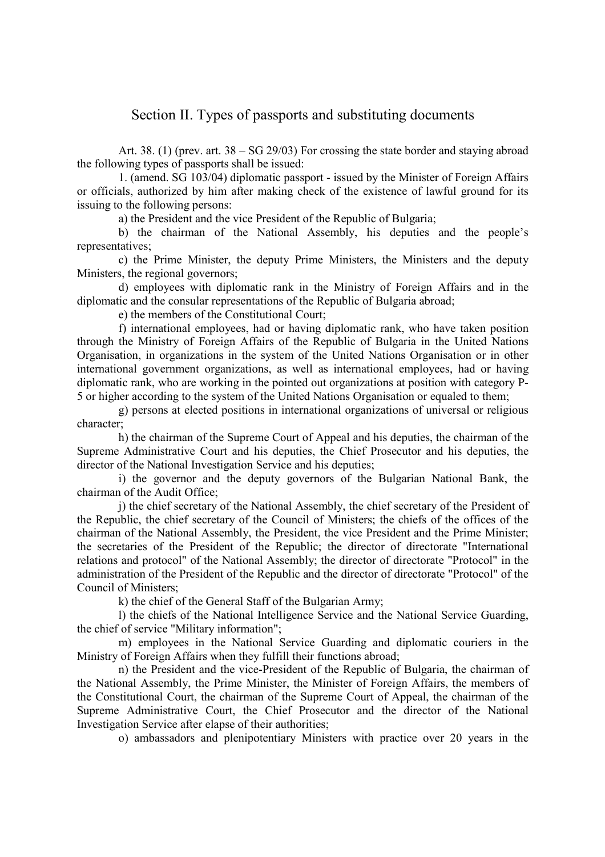### Section II. Types of passports and substituting documents

Art. 38. (1) (prev. art. 38 – SG 29/03) For crossing the state border and staying abroad the following types of passports shall be issued:

1. (amend. SG 103/04) diplomatic passport - issued by the Minister of Foreign Affairs or officials, authorized by him after making check of the existence of lawful ground for its issuing to the following persons:

a) the President and the vice President of the Republic of Bulgaria;

b) the chairman of the National Assembly, his deputies and the people's representatives;

c) the Prime Minister, the deputy Prime Ministers, the Ministers and the deputy Ministers, the regional governors;

d) employees with diplomatic rank in the Ministry of Foreign Affairs and in the diplomatic and the consular representations of the Republic of Bulgaria abroad;

e) the members of the Constitutional Court;

f) international employees, had or having diplomatic rank, who have taken position through the Ministry of Foreign Affairs of the Republic of Bulgaria in the United Nations Organisation, in organizations in the system of the United Nations Organisation or in other international government organizations, as well as international employees, had or having diplomatic rank, who are working in the pointed out organizations at position with category P-5 or higher according to the system of the United Nations Organisation or equaled to them;

g) persons at elected positions in international organizations of universal or religious character;

h) the chairman of the Supreme Court of Appeal and his deputies, the chairman of the Supreme Administrative Court and his deputies, the Chief Prosecutor and his deputies, the director of the National Investigation Service and his deputies;

i) the governor and the deputy governors of the Bulgarian National Bank, the chairman of the Audit Office;

j) the chief secretary of the National Assembly, the chief secretary of the President of the Republic, the chief secretary of the Council of Ministers; the chiefs of the offices of the chairman of the National Assembly, the President, the vice President and the Prime Minister; the secretaries of the President of the Republic; the director of directorate "International relations and protocol" of the National Assembly; the director of directorate "Protocol" in the administration of the President of the Republic and the director of directorate "Protocol" of the Council of Ministers;

k) the chief of the General Staff of the Bulgarian Army;

l) the chiefs of the National Intelligence Service and the National Service Guarding, the chief of service "Military information";

m) employees in the National Service Guarding and diplomatic couriers in the Ministry of Foreign Affairs when they fulfill their functions abroad;

n) the President and the vice-President of the Republic of Bulgaria, the chairman of the National Assembly, the Prime Minister, the Minister of Foreign Affairs, the members of the Constitutional Court, the chairman of the Supreme Court of Appeal, the chairman of the Supreme Administrative Court, the Chief Prosecutor and the director of the National Investigation Service after elapse of their authorities;

o) ambassadors and plenipotentiary Ministers with practice over 20 years in the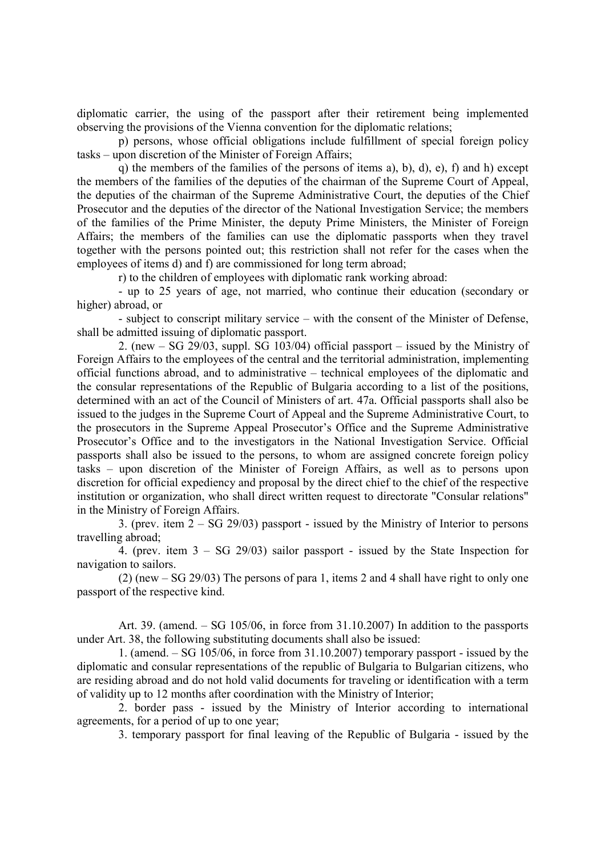diplomatic carrier, the using of the passport after their retirement being implemented observing the provisions of the Vienna convention for the diplomatic relations;

p) persons, whose official obligations include fulfillment of special foreign policy tasks – upon discretion of the Minister of Foreign Affairs;

q) the members of the families of the persons of items a), b), d), e), f) and h) except the members of the families of the deputies of the chairman of the Supreme Court of Appeal, the deputies of the chairman of the Supreme Administrative Court, the deputies of the Chief Prosecutor and the deputies of the director of the National Investigation Service; the members of the families of the Prime Minister, the deputy Prime Ministers, the Minister of Foreign Affairs; the members of the families can use the diplomatic passports when they travel together with the persons pointed out; this restriction shall not refer for the cases when the employees of items d) and f) are commissioned for long term abroad;

r) to the children of employees with diplomatic rank working abroad:

- up to 25 years of age, not married, who continue their education (secondary or higher) abroad, or

- subject to conscript military service – with the consent of the Minister of Defense, shall be admitted issuing of diplomatic passport.

2. (new – SG 29/03, suppl. SG 103/04) official passport – issued by the Ministry of Foreign Affairs to the employees of the central and the territorial administration, implementing official functions abroad, and to administrative – technical employees of the diplomatic and the consular representations of the Republic of Bulgaria according to a list of the positions, determined with an act of the Council of Ministers of art. 47a. Official passports shall also be issued to the judges in the Supreme Court of Appeal and the Supreme Administrative Court, to the prosecutors in the Supreme Appeal Prosecutor's Office and the Supreme Administrative Prosecutor's Office and to the investigators in the National Investigation Service. Official passports shall also be issued to the persons, to whom are assigned concrete foreign policy tasks – upon discretion of the Minister of Foreign Affairs, as well as to persons upon discretion for official expediency and proposal by the direct chief to the chief of the respective institution or organization, who shall direct written request to directorate "Consular relations" in the Ministry of Foreign Affairs.

3. (prev. item 2 – SG 29/03) passport - issued by the Ministry of Interior to persons travelling abroad;

4. (prev. item 3 – SG 29/03) sailor passport - issued by the State Inspection for navigation to sailors.

(2) (new – SG 29/03) The persons of para 1, items 2 and 4 shall have right to only one passport of the respective kind.

Art. 39. (amend. – SG 105/06, in force from 31.10.2007) In addition to the passports under Art. 38, the following substituting documents shall also be issued:

1. (amend. – SG 105/06, in force from 31.10.2007) temporary passport - issued by the diplomatic and consular representations of the republic of Bulgaria to Bulgarian citizens, who are residing abroad and do not hold valid documents for traveling or identification with a term of validity up to 12 months after coordination with the Ministry of Interior;

2. border pass - issued by the Ministry of Interior according to international agreements, for a period of up to one year;

3. temporary passport for final leaving of the Republic of Bulgaria - issued by the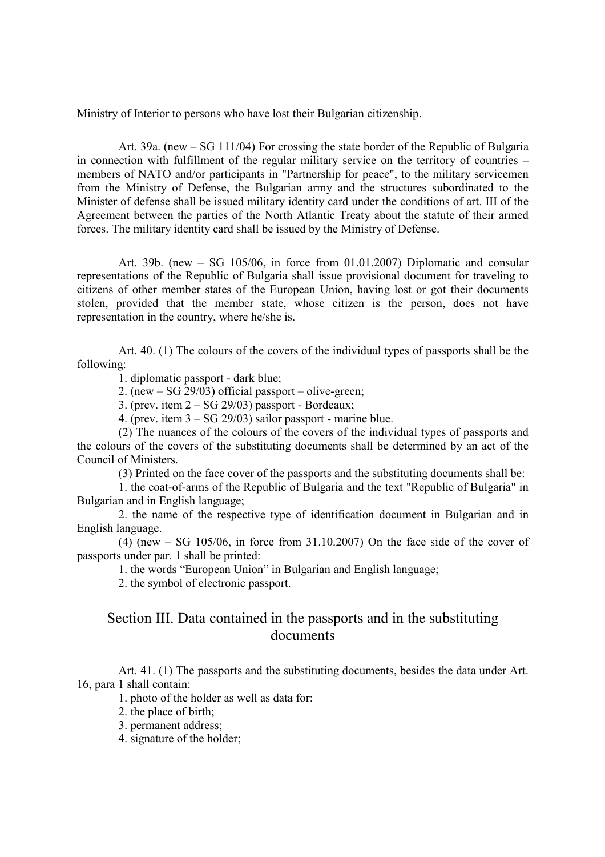Ministry of Interior to persons who have lost their Bulgarian citizenship.

Art. 39a. (new – SG 111/04) For crossing the state border of the Republic of Bulgaria in connection with fulfillment of the regular military service on the territory of countries – members of NATO and/or participants in "Partnership for peace", to the military servicemen from the Ministry of Defense, the Bulgarian army and the structures subordinated to the Minister of defense shall be issued military identity card under the conditions of art. III of the Agreement between the parties of the North Atlantic Treaty about the statute of their armed forces. The military identity card shall be issued by the Ministry of Defense.

Art. 39b. (new – SG 105/06, in force from 01.01.2007) Diplomatic and consular representations of the Republic of Bulgaria shall issue provisional document for traveling to citizens of other member states of the European Union, having lost or got their documents stolen, provided that the member state, whose citizen is the person, does not have representation in the country, where he/she is.

Art. 40. (1) The colours of the covers of the individual types of passports shall be the following:

1. diplomatic passport - dark blue;

2. (new – SG 29/03) official passport – olive-green;

3. (prev. item  $2 - SG 29/03$ ) passport - Bordeaux;

4. (prev. item  $3 - SG$  29/03) sailor passport - marine blue.

(2) The nuances of the colours of the covers of the individual types of passports and the colours of the covers of the substituting documents shall be determined by an act of the Council of Ministers.

(3) Printed on the face cover of the passports and the substituting documents shall be:

1. the coat-of-arms of the Republic of Bulgaria and the text "Republic of Bulgaria" in Bulgarian and in English language;

2. the name of the respective type of identification document in Bulgarian and in English language.

(4) (new  $-$  SG 105/06, in force from 31.10.2007) On the face side of the cover of passports under par. 1 shall be printed:

1. the words "European Union" in Bulgarian and English language;

2. the symbol of electronic passport.

## Section III. Data contained in the passports and in the substituting documents

Art. 41. (1) The passports and the substituting documents, besides the data under Art. 16, para 1 shall contain:

1. photo of the holder as well as data for:

2. the place of birth;

3. permanent address;

4. signature of the holder;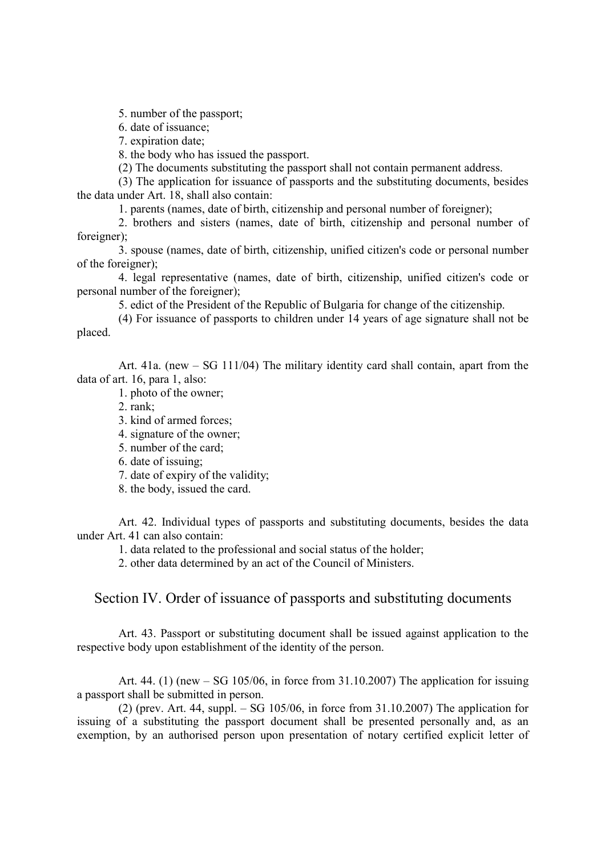5. number of the passport;

6. date of issuance;

7. expiration date;

8. the body who has issued the passport.

(2) The documents substituting the passport shall not contain permanent address.

(3) The application for issuance of passports and the substituting documents, besides the data under Art. 18, shall also contain:

1. parents (names, date of birth, citizenship and personal number of foreigner);

2. brothers and sisters (names, date of birth, citizenship and personal number of foreigner);

3. spouse (names, date of birth, citizenship, unified citizen's code or personal number of the foreigner);

4. legal representative (names, date of birth, citizenship, unified citizen's code or personal number of the foreigner);

5. edict of the President of the Republic of Bulgaria for change of the citizenship.

(4) For issuance of passports to children under 14 years of age signature shall not be placed.

Art. 41a. (new – SG 111/04) The military identity card shall contain, apart from the data of art. 16, para 1, also:

1. photo of the owner;

2. rank;

- 3. kind of armed forces;
- 4. signature of the owner;
- 5. number of the card;
- 6. date of issuing;
- 7. date of expiry of the validity;
- 8. the body, issued the card.

Art. 42. Individual types of passports and substituting documents, besides the data under Art. 41 can also contain:

1. data related to the professional and social status of the holder;

2. other data determined by an act of the Council of Ministers.

#### Section IV. Order of issuance of passports and substituting documents

Art. 43. Passport or substituting document shall be issued against application to the respective body upon establishment of the identity of the person.

Art. 44. (1) (new – SG 105/06, in force from 31.10.2007) The application for issuing a passport shall be submitted in person.

(2) (prev. Art. 44, suppl.  $-$  SG 105/06, in force from 31.10.2007) The application for issuing of a substituting the passport document shall be presented personally and, as an exemption, by an authorised person upon presentation of notary certified explicit letter of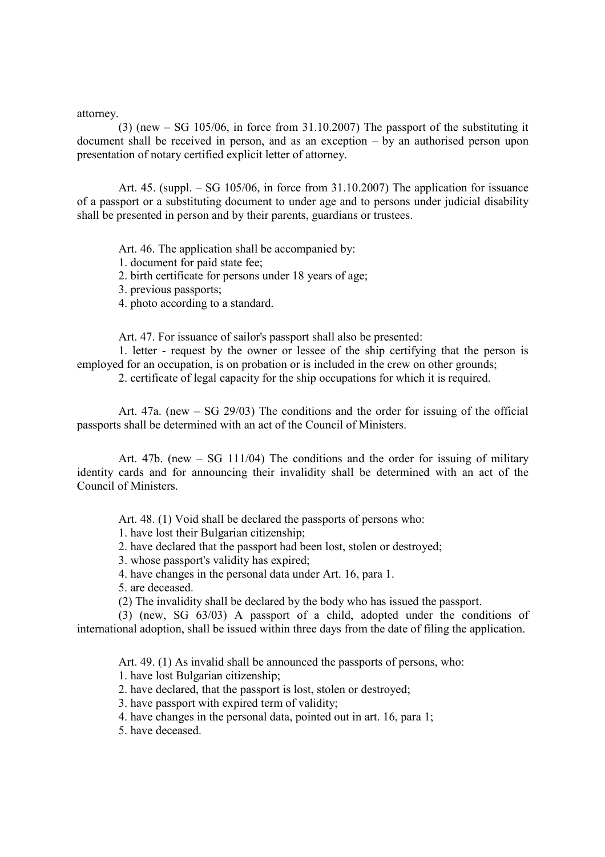attorney.

(3) (new – SG 105/06, in force from 31.10.2007) The passport of the substituting it document shall be received in person, and as an exception – by an authorised person upon presentation of notary certified explicit letter of attorney.

Art. 45. (suppl. – SG 105/06, in force from 31.10.2007) The application for issuance of a passport or a substituting document to under age and to persons under judicial disability shall be presented in person and by their parents, guardians or trustees.

Art. 46. The application shall be accompanied by:

1. document for paid state fee;

2. birth certificate for persons under 18 years of age;

3. previous passports;

4. photo according to a standard.

Art. 47. For issuance of sailor's passport shall also be presented:

1. letter - request by the owner or lessee of the ship certifying that the person is employed for an occupation, is on probation or is included in the crew on other grounds;

2. certificate of legal capacity for the ship occupations for which it is required.

Art. 47a. (new – SG 29/03) The conditions and the order for issuing of the official passports shall be determined with an act of the Council of Ministers.

Art. 47b. (new – SG 111/04) The conditions and the order for issuing of military identity cards and for announcing their invalidity shall be determined with an act of the Council of Ministers.

Art. 48. (1) Void shall be declared the passports of persons who:

1. have lost their Bulgarian citizenship;

2. have declared that the passport had been lost, stolen or destroyed;

3. whose passport's validity has expired;

4. have changes in the personal data under Art. 16, para 1.

5. are deceased.

(2) The invalidity shall be declared by the body who has issued the passport.

(3) (new, SG 63/03) A passport of a child, adopted under the conditions of international adoption, shall be issued within three days from the date of filing the application.

Art. 49. (1) As invalid shall be announced the passports of persons, who:

1. have lost Bulgarian citizenship;

2. have declared, that the passport is lost, stolen or destroyed;

3. have passport with expired term of validity;

4. have changes in the personal data, pointed out in art. 16, para 1;

5. have deceased.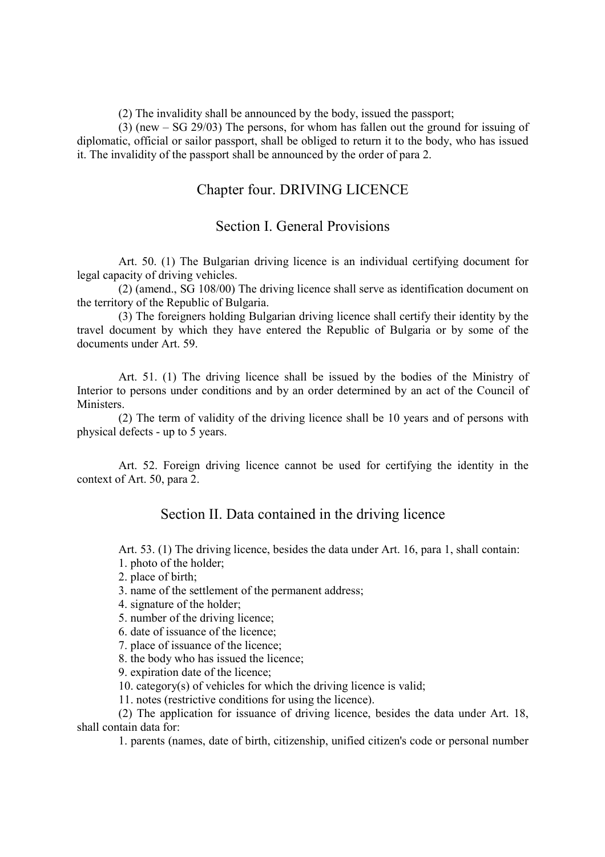(2) The invalidity shall be announced by the body, issued the passport;

(3) (new – SG 29/03) The persons, for whom has fallen out the ground for issuing of diplomatic, official or sailor passport, shall be obliged to return it to the body, who has issued it. The invalidity of the passport shall be announced by the order of para 2.

### Chapter four. DRIVING LICENCE

#### Section I. General Provisions

Art. 50. (1) The Bulgarian driving licence is an individual certifying document for legal capacity of driving vehicles.

(2) (amend., SG 108/00) The driving licence shall serve as identification document on the territory of the Republic of Bulgaria.

(3) The foreigners holding Bulgarian driving licence shall certify their identity by the travel document by which they have entered the Republic of Bulgaria or by some of the documents under Art. 59.

Art. 51. (1) The driving licence shall be issued by the bodies of the Ministry of Interior to persons under conditions and by an order determined by an act of the Council of Ministers.

(2) The term of validity of the driving licence shall be 10 years and of persons with physical defects - up to 5 years.

Art. 52. Foreign driving licence cannot be used for certifying the identity in the context of Art. 50, para 2.

#### Section II. Data contained in the driving licence

Art. 53. (1) The driving licence, besides the data under Art. 16, para 1, shall contain: 1. photo of the holder;

2. place of birth;

- 3. name of the settlement of the permanent address;
- 4. signature of the holder;
- 5. number of the driving licence;

6. date of issuance of the licence;

7. place of issuance of the licence;

8. the body who has issued the licence;

9. expiration date of the licence;

10. category(s) of vehicles for which the driving licence is valid;

11. notes (restrictive conditions for using the licence).

(2) The application for issuance of driving licence, besides the data under Art. 18, shall contain data for:

1. parents (names, date of birth, citizenship, unified citizen's code or personal number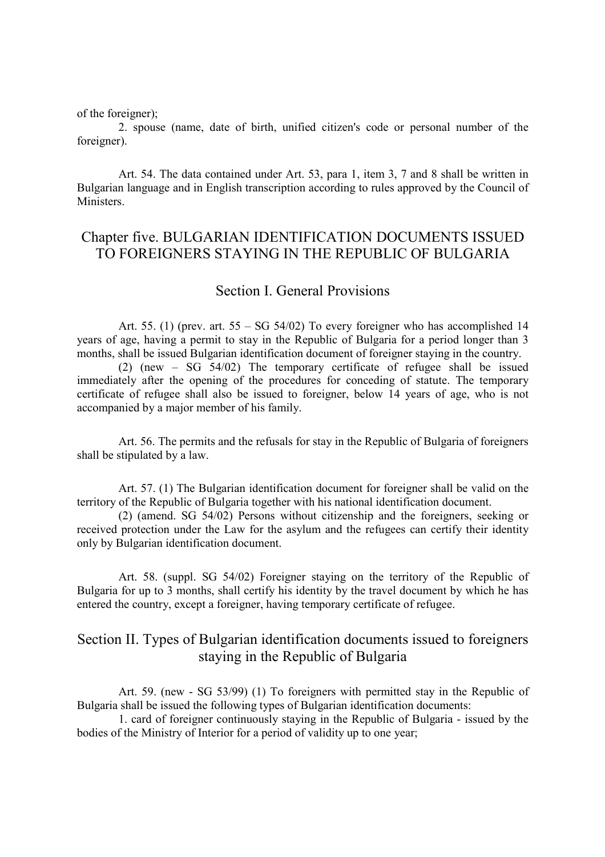of the foreigner);

2. spouse (name, date of birth, unified citizen's code or personal number of the foreigner).

Art. 54. The data contained under Art. 53, para 1, item 3, 7 and 8 shall be written in Bulgarian language and in English transcription according to rules approved by the Council of **Ministers** 

### Chapter five. BULGARIAN IDENTIFICATION DOCUMENTS ISSUED TO FOREIGNERS STAYING IN THE REPUBLIC OF BULGARIA

#### Section I. General Provisions

Art. 55. (1) (prev. art. 55 – SG 54/02) To every foreigner who has accomplished 14 years of age, having a permit to stay in the Republic of Bulgaria for a period longer than 3 months, shall be issued Bulgarian identification document of foreigner staying in the country.

(2) (new – SG 54/02) The temporary certificate of refugee shall be issued immediately after the opening of the procedures for conceding of statute. The temporary certificate of refugee shall also be issued to foreigner, below 14 years of age, who is not accompanied by a major member of his family.

Art. 56. The permits and the refusals for stay in the Republic of Bulgaria of foreigners shall be stipulated by a law.

Art. 57. (1) The Bulgarian identification document for foreigner shall be valid on the territory of the Republic of Bulgaria together with his national identification document.

(2) (amend. SG 54/02) Persons without citizenship and the foreigners, seeking or received protection under the Law for the asylum and the refugees can certify their identity only by Bulgarian identification document.

Art. 58. (suppl. SG 54/02) Foreigner staying on the territory of the Republic of Bulgaria for up to 3 months, shall certify his identity by the travel document by which he has entered the country, except a foreigner, having temporary certificate of refugee.

### Section II. Types of Bulgarian identification documents issued to foreigners staying in the Republic of Bulgaria

Art. 59. (new - SG 53/99) (1) To foreigners with permitted stay in the Republic of Bulgaria shall be issued the following types of Bulgarian identification documents:

1. card of foreigner continuously staying in the Republic of Bulgaria - issued by the bodies of the Ministry of Interior for a period of validity up to one year;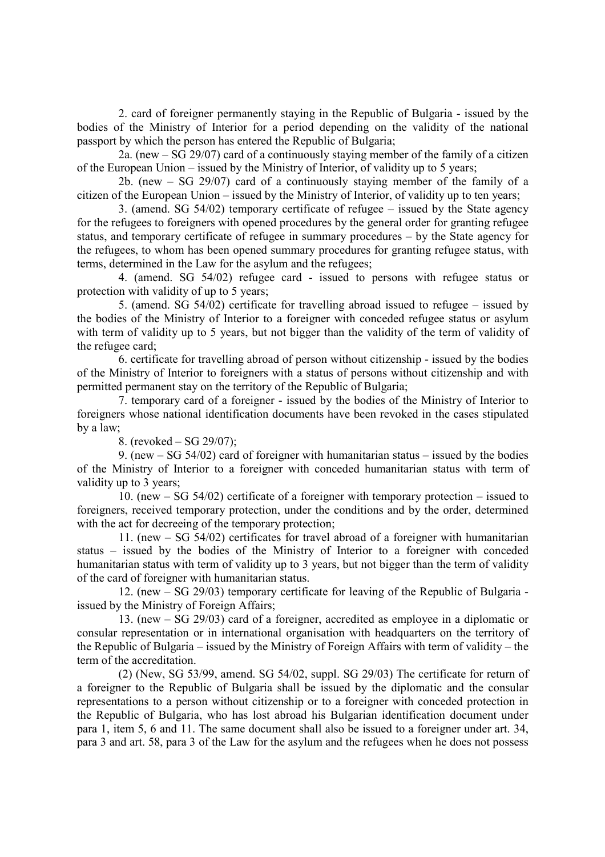2. card of foreigner permanently staying in the Republic of Bulgaria - issued by the bodies of the Ministry of Interior for a period depending on the validity of the national passport by which the person has entered the Republic of Bulgaria;

2a. (new – SG 29/07) card of a continuously staying member of the family of a citizen of the European Union – issued by the Ministry of Interior, of validity up to 5 years;

2b. (new – SG 29/07) card of a continuously staying member of the family of a citizen of the European Union – issued by the Ministry of Interior, of validity up to ten years;

3. (amend. SG 54/02) temporary certificate of refugee – issued by the State agency for the refugees to foreigners with opened procedures by the general order for granting refugee status, and temporary certificate of refugee in summary procedures – by the State agency for the refugees, to whom has been opened summary procedures for granting refugee status, with terms, determined in the Law for the asylum and the refugees;

4. (amend. SG 54/02) refugee card - issued to persons with refugee status or protection with validity of up to 5 years;

5. (amend. SG 54/02) certificate for travelling abroad issued to refugee – issued by the bodies of the Ministry of Interior to a foreigner with conceded refugee status or asylum with term of validity up to 5 years, but not bigger than the validity of the term of validity of the refugee card;

6. certificate for travelling abroad of person without citizenship - issued by the bodies of the Ministry of Interior to foreigners with a status of persons without citizenship and with permitted permanent stay on the territory of the Republic of Bulgaria;

7. temporary card of a foreigner - issued by the bodies of the Ministry of Interior to foreigners whose national identification documents have been revoked in the cases stipulated by a law;

8. (revoked – SG 29/07);

9. (new – SG 54/02) card of foreigner with humanitarian status – issued by the bodies of the Ministry of Interior to a foreigner with conceded humanitarian status with term of validity up to 3 years;

10. (new – SG 54/02) certificate of a foreigner with temporary protection – issued to foreigners, received temporary protection, under the conditions and by the order, determined with the act for decreeing of the temporary protection;

11. (new – SG 54/02) certificates for travel abroad of a foreigner with humanitarian status – issued by the bodies of the Ministry of Interior to a foreigner with conceded humanitarian status with term of validity up to 3 years, but not bigger than the term of validity of the card of foreigner with humanitarian status.

12. (new – SG 29/03) temporary certificate for leaving of the Republic of Bulgaria issued by the Ministry of Foreign Affairs;

13. (new – SG 29/03) card of a foreigner, accredited as employee in a diplomatic or consular representation or in international organisation with headquarters on the territory of the Republic of Bulgaria – issued by the Ministry of Foreign Affairs with term of validity – the term of the accreditation.

(2) (New, SG 53/99, amend. SG 54/02, suppl. SG 29/03) The certificate for return of a foreigner to the Republic of Bulgaria shall be issued by the diplomatic and the consular representations to a person without citizenship or to a foreigner with conceded protection in the Republic of Bulgaria, who has lost abroad his Bulgarian identification document under para 1, item 5, 6 and 11. The same document shall also be issued to a foreigner under art. 34, para 3 and art. 58, para 3 of the Law for the asylum and the refugees when he does not possess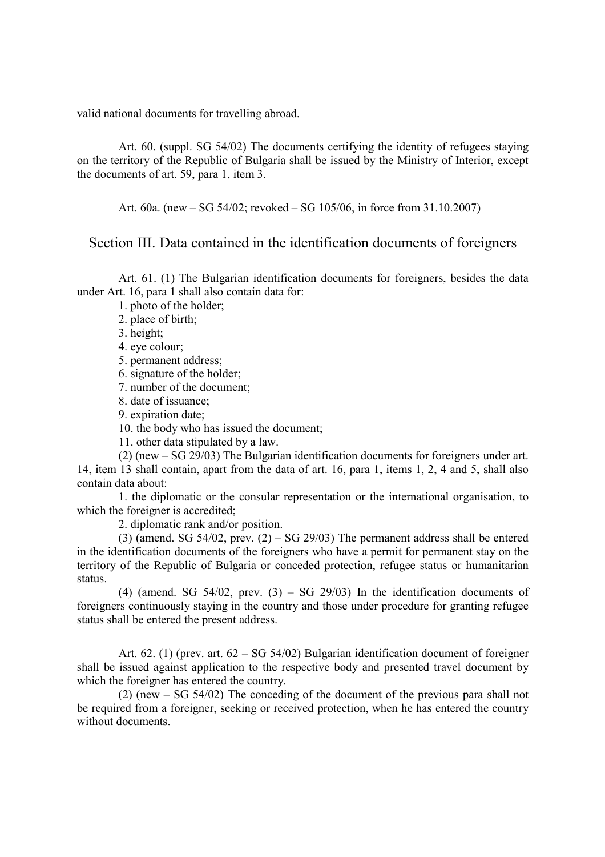valid national documents for travelling abroad.

Art. 60. (suppl. SG 54/02) The documents certifying the identity of refugees staying on the territory of the Republic of Bulgaria shall be issued by the Ministry of Interior, except the documents of art. 59, para 1, item 3.

Art. 60a. (new – SG 54/02; revoked – SG 105/06, in force from 31.10.2007)

#### Section III. Data contained in the identification documents of foreigners

Art. 61. (1) The Bulgarian identification documents for foreigners, besides the data under Art. 16, para 1 shall also contain data for:

1. photo of the holder;

2. place of birth;

3. height;

4. eye colour;

5. permanent address;

6. signature of the holder;

7. number of the document;

8. date of issuance;

9. expiration date;

10. the body who has issued the document;

11. other data stipulated by a law.

(2) (new – SG 29/03) The Bulgarian identification documents for foreigners under art. 14, item 13 shall contain, apart from the data of art. 16, para 1, items 1, 2, 4 and 5, shall also contain data about:

1. the diplomatic or the consular representation or the international organisation, to which the foreigner is accredited;

2. diplomatic rank and/or position.

(3) (amend. SG  $54/02$ , prev.  $(2) - SG$  29/03) The permanent address shall be entered in the identification documents of the foreigners who have a permit for permanent stay on the territory of the Republic of Bulgaria or conceded protection, refugee status or humanitarian status.

(4) (amend. SG  $54/02$ , prev. (3) – SG  $29/03$ ) In the identification documents of foreigners continuously staying in the country and those under procedure for granting refugee status shall be entered the present address.

Art. 62. (1) (prev. art.  $62 - SG \, 54/02$ ) Bulgarian identification document of foreigner shall be issued against application to the respective body and presented travel document by which the foreigner has entered the country.

(2) (new – SG 54/02) The conceding of the document of the previous para shall not be required from a foreigner, seeking or received protection, when he has entered the country without documents.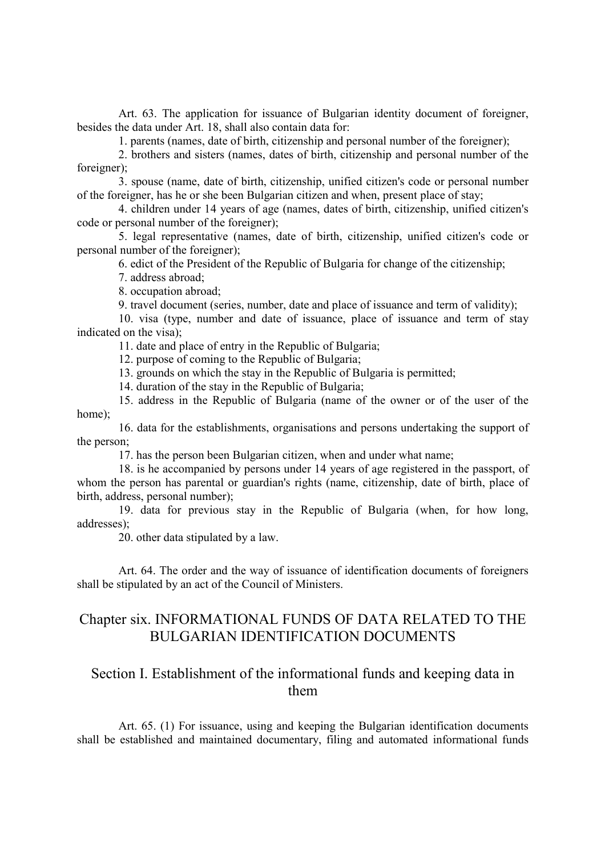Art. 63. The application for issuance of Bulgarian identity document of foreigner, besides the data under Art. 18, shall also contain data for:

1. parents (names, date of birth, citizenship and personal number of the foreigner);

2. brothers and sisters (names, dates of birth, citizenship and personal number of the foreigner);

3. spouse (name, date of birth, citizenship, unified citizen's code or personal number of the foreigner, has he or she been Bulgarian citizen and when, present place of stay;

4. children under 14 years of age (names, dates of birth, citizenship, unified citizen's code or personal number of the foreigner);

5. legal representative (names, date of birth, citizenship, unified citizen's code or personal number of the foreigner);

6. edict of the President of the Republic of Bulgaria for change of the citizenship;

7. address abroad;

8. occupation abroad;

9. travel document (series, number, date and place of issuance and term of validity);

10. visa (type, number and date of issuance, place of issuance and term of stay indicated on the visa);

11. date and place of entry in the Republic of Bulgaria;

12. purpose of coming to the Republic of Bulgaria;

13. grounds on which the stay in the Republic of Bulgaria is permitted;

14. duration of the stay in the Republic of Bulgaria;

15. address in the Republic of Bulgaria (name of the owner or of the user of the home);

16. data for the establishments, organisations and persons undertaking the support of the person;

17. has the person been Bulgarian citizen, when and under what name;

18. is he accompanied by persons under 14 years of age registered in the passport, of whom the person has parental or guardian's rights (name, citizenship, date of birth, place of birth, address, personal number);

19. data for previous stay in the Republic of Bulgaria (when, for how long, addresses);

20. other data stipulated by a law.

Art. 64. The order and the way of issuance of identification documents of foreigners shall be stipulated by an act of the Council of Ministers.

## Chapter six. INFORMATIONAL FUNDS OF DATA RELATED TO THE BULGARIAN IDENTIFICATION DOCUMENTS

# Section I. Establishment of the informational funds and keeping data in them

Art. 65. (1) For issuance, using and keeping the Bulgarian identification documents shall be established and maintained documentary, filing and automated informational funds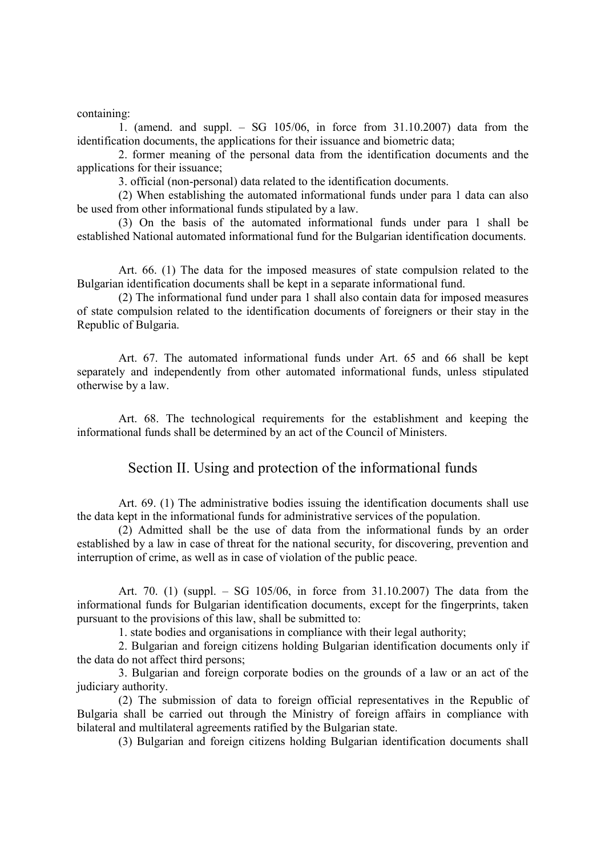containing:

1. (amend. and suppl. – SG 105/06, in force from 31.10.2007) data from the identification documents, the applications for their issuance and biometric data;

2. former meaning of the personal data from the identification documents and the applications for their issuance;

3. official (non-personal) data related to the identification documents.

(2) When establishing the automated informational funds under para 1 data can also be used from other informational funds stipulated by a law.

(3) On the basis of the automated informational funds under para 1 shall be established National automated informational fund for the Bulgarian identification documents.

Art. 66. (1) The data for the imposed measures of state compulsion related to the Bulgarian identification documents shall be kept in a separate informational fund.

(2) The informational fund under para 1 shall also contain data for imposed measures of state compulsion related to the identification documents of foreigners or their stay in the Republic of Bulgaria.

Art. 67. The automated informational funds under Art. 65 and 66 shall be kept separately and independently from other automated informational funds, unless stipulated otherwise by a law.

Art. 68. The technological requirements for the establishment and keeping the informational funds shall be determined by an act of the Council of Ministers.

#### Section II. Using and protection of the informational funds

Art. 69. (1) The administrative bodies issuing the identification documents shall use the data kept in the informational funds for administrative services of the population.

(2) Admitted shall be the use of data from the informational funds by an order established by a law in case of threat for the national security, for discovering, prevention and interruption of crime, as well as in case of violation of the public peace.

Art. 70. (1) (suppl. – SG 105/06, in force from 31.10.2007) The data from the informational funds for Bulgarian identification documents, except for the fingerprints, taken pursuant to the provisions of this law, shall be submitted to:

1. state bodies and organisations in compliance with their legal authority;

2. Bulgarian and foreign citizens holding Bulgarian identification documents only if the data do not affect third persons;

3. Bulgarian and foreign corporate bodies on the grounds of a law or an act of the judiciary authority.

(2) The submission of data to foreign official representatives in the Republic of Bulgaria shall be carried out through the Ministry of foreign affairs in compliance with bilateral and multilateral agreements ratified by the Bulgarian state.

(3) Bulgarian and foreign citizens holding Bulgarian identification documents shall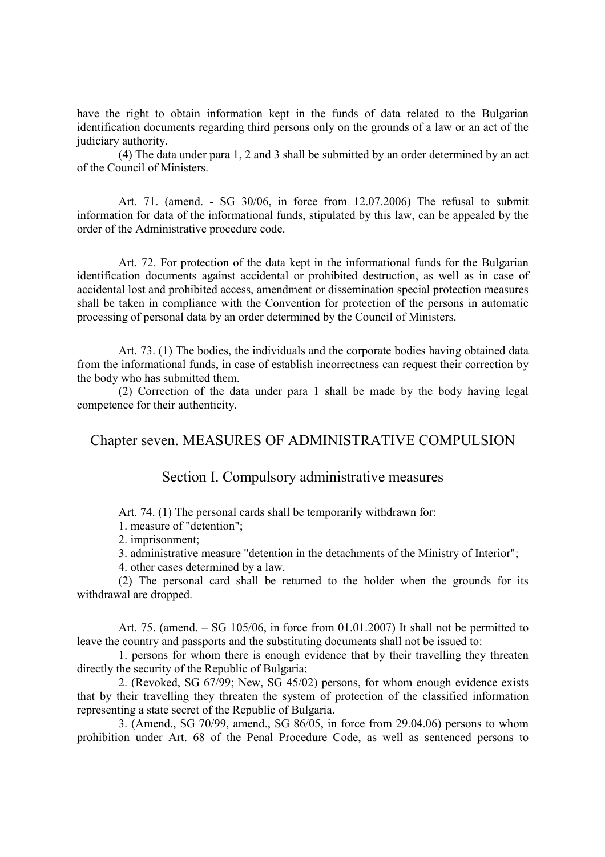have the right to obtain information kept in the funds of data related to the Bulgarian identification documents regarding third persons only on the grounds of a law or an act of the judiciary authority.

(4) The data under para 1, 2 and 3 shall be submitted by an order determined by an act of the Council of Ministers.

Art. 71. (amend. - SG 30/06, in force from 12.07.2006) The refusal to submit information for data of the informational funds, stipulated by this law, can be appealed by the order of the Administrative procedure code.

Art. 72. For protection of the data kept in the informational funds for the Bulgarian identification documents against accidental or prohibited destruction, as well as in case of accidental lost and prohibited access, amendment or dissemination special protection measures shall be taken in compliance with the Convention for protection of the persons in automatic processing of personal data by an order determined by the Council of Ministers.

Art. 73. (1) The bodies, the individuals and the corporate bodies having obtained data from the informational funds, in case of establish incorrectness can request their correction by the body who has submitted them.

(2) Correction of the data under para 1 shall be made by the body having legal competence for their authenticity.

### Chapter seven. MEASURES OF ADMINISTRATIVE COMPULSION

#### Section I. Compulsory administrative measures

Art. 74. (1) The personal cards shall be temporarily withdrawn for:

1. measure of "detention";

2. imprisonment;

3. administrative measure "detention in the detachments of the Ministry of Interior";

4. other cases determined by a law.

(2) The personal card shall be returned to the holder when the grounds for its withdrawal are dropped.

Art. 75. (amend. – SG 105/06, in force from 01.01.2007) It shall not be permitted to leave the country and passports and the substituting documents shall not be issued to:

1. persons for whom there is enough evidence that by their travelling they threaten directly the security of the Republic of Bulgaria;

2. (Revoked, SG 67/99; New, SG 45/02) persons, for whom enough evidence exists that by their travelling they threaten the system of protection of the classified information representing a state secret of the Republic of Bulgaria.

3. (Amend., SG 70/99, amend., SG 86/05, in force from 29.04.06) persons to whom prohibition under Art. 68 of the Penal Procedure Code, as well as sentenced persons to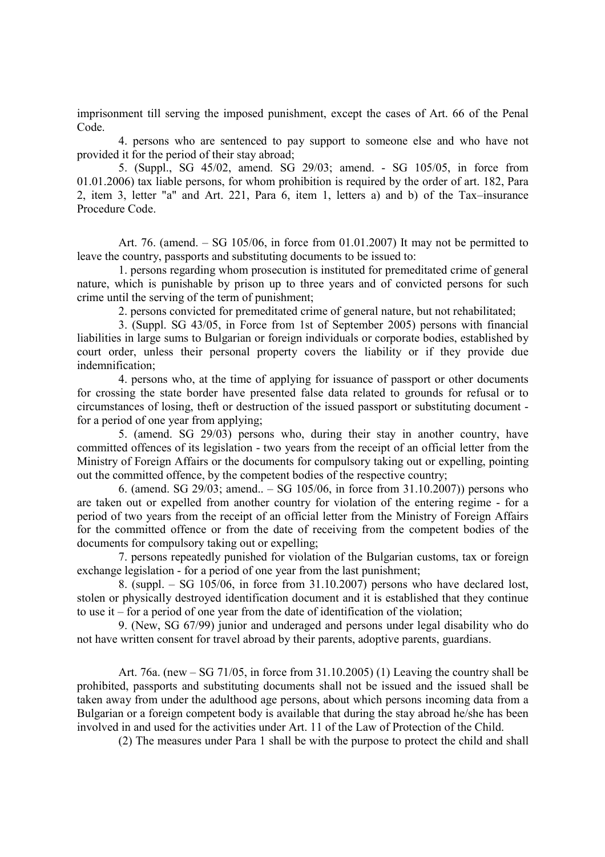imprisonment till serving the imposed punishment, except the cases of Art. 66 of the Penal Code.

4. persons who are sentenced to pay support to someone else and who have not provided it for the period of their stay abroad;

5. (Suppl., SG 45/02, amend. SG 29/03; amend. - SG 105/05, in force from 01.01.2006) tax liable persons, for whom prohibition is required by the order of art. 182, Para 2, item 3, letter "a" and Art. 221, Para 6, item 1, letters a) and b) of the Tax–insurance Procedure Code.

Art. 76. (amend.  $-$  SG 105/06, in force from 01.01.2007) It may not be permitted to leave the country, passports and substituting documents to be issued to:

1. persons regarding whom prosecution is instituted for premeditated crime of general nature, which is punishable by prison up to three years and of convicted persons for such crime until the serving of the term of punishment;

2. persons convicted for premeditated crime of general nature, but not rehabilitated;

3. (Suppl. SG 43/05, in Force from 1st of September 2005) persons with financial liabilities in large sums to Bulgarian or foreign individuals or corporate bodies, established by court order, unless their personal property covers the liability or if they provide due indemnification;

4. persons who, at the time of applying for issuance of passport or other documents for crossing the state border have presented false data related to grounds for refusal or to circumstances of losing, theft or destruction of the issued passport or substituting document for a period of one year from applying;

5. (amend. SG 29/03) persons who, during their stay in another country, have committed offences of its legislation - two years from the receipt of an official letter from the Ministry of Foreign Affairs or the documents for compulsory taking out or expelling, pointing out the committed offence, by the competent bodies of the respective country;

6. (amend. SG 29/03; amend.. – SG 105/06, in force from 31.10.2007)) persons who are taken out or expelled from another country for violation of the entering regime - for a period of two years from the receipt of an official letter from the Ministry of Foreign Affairs for the committed offence or from the date of receiving from the competent bodies of the documents for compulsory taking out or expelling;

7. persons repeatedly punished for violation of the Bulgarian customs, tax or foreign exchange legislation - for a period of one year from the last punishment;

8. (suppl. – SG  $105/06$ , in force from 31.10.2007) persons who have declared lost, stolen or physically destroyed identification document and it is established that they continue to use it – for a period of one year from the date of identification of the violation;

9. (New, SG 67/99) junior and underaged and persons under legal disability who do not have written consent for travel abroad by their parents, adoptive parents, guardians.

Art. 76a. (new – SG 71/05, in force from 31.10.2005) (1) Leaving the country shall be prohibited, passports and substituting documents shall not be issued and the issued shall be taken away from under the adulthood age persons, about which persons incoming data from a Bulgarian or a foreign competent body is available that during the stay abroad he/she has been involved in and used for the activities under Art. 11 of the Law of Protection of the Child.

(2) The measures under Para 1 shall be with the purpose to protect the child and shall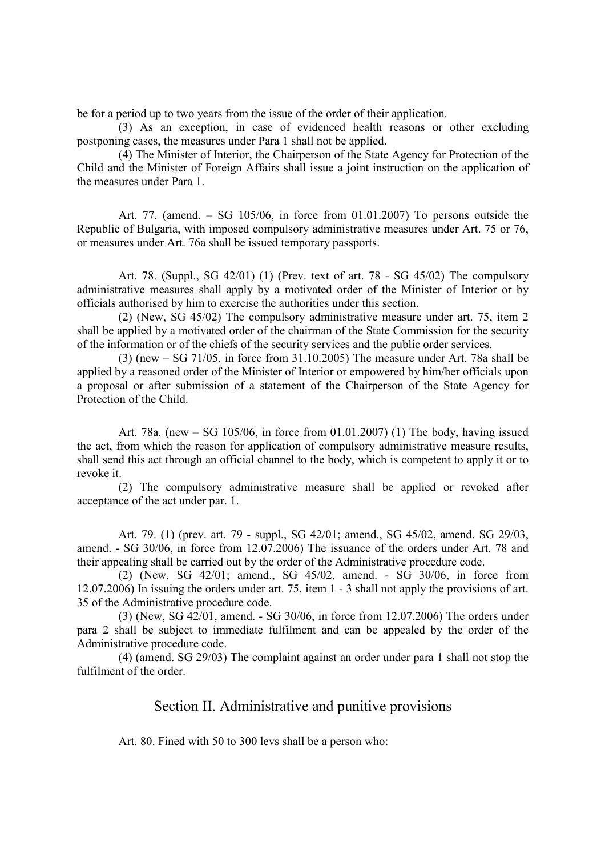be for a period up to two years from the issue of the order of their application.

(3) As an exception, in case of evidenced health reasons or other excluding postponing cases, the measures under Para 1 shall not be applied.

(4) The Minister of Interior, the Chairperson of the State Agency for Protection of the Child and the Minister of Foreign Affairs shall issue a joint instruction on the application of the measures under Para 1.

Art. 77. (amend. – SG 105/06, in force from 01.01.2007) To persons outside the Republic of Bulgaria, with imposed compulsory administrative measures under Art. 75 or 76, or measures under Art. 76a shall be issued temporary passports.

Art. 78. (Suppl., SG 42/01) (1) (Prev. text of art. 78 - SG 45/02) The compulsory administrative measures shall apply by a motivated order of the Minister of Interior or by officials authorised by him to exercise the authorities under this section.

(2) (New, SG 45/02) The compulsory administrative measure under art. 75, item 2 shall be applied by a motivated order of the chairman of the State Commission for the security of the information or of the chiefs of the security services and the public order services.

(3) (new – SG 71/05, in force from 31.10.2005) The measure under Art. 78a shall be applied by a reasoned order of the Minister of Interior or empowered by him/her officials upon a proposal or after submission of a statement of the Chairperson of the State Agency for Protection of the Child.

Art. 78a. (new – SG 105/06, in force from 01.01.2007) (1) The body, having issued the act, from which the reason for application of compulsory administrative measure results, shall send this act through an official channel to the body, which is competent to apply it or to revoke it.

(2) The compulsory administrative measure shall be applied or revoked after acceptance of the act under par. 1.

Art. 79. (1) (prev. art. 79 - suppl., SG 42/01; amend., SG 45/02, amend. SG 29/03, amend. - SG 30/06, in force from 12.07.2006) The issuance of the orders under Art. 78 and their appealing shall be carried out by the order of the Administrative procedure code.

(2) (New, SG 42/01; amend., SG 45/02, amend. - SG 30/06, in force from 12.07.2006) In issuing the orders under art. 75, item 1 - 3 shall not apply the provisions of art. 35 of the Administrative procedure code.

(3) (New, SG 42/01, amend. - SG 30/06, in force from 12.07.2006) The orders under para 2 shall be subject to immediate fulfilment and can be appealed by the order of the Administrative procedure code.

(4) (amend. SG 29/03) The complaint against an order under para 1 shall not stop the fulfilment of the order.

### Section II. Administrative and punitive provisions

Art. 80. Fined with 50 to 300 levs shall be a person who: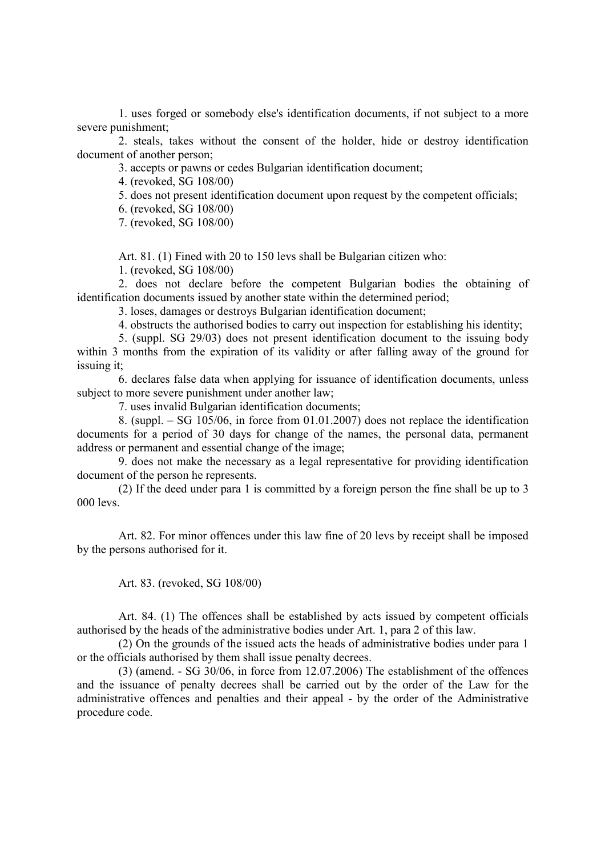1. uses forged or somebody else's identification documents, if not subject to a more severe punishment;

2. steals, takes without the consent of the holder, hide or destroy identification document of another person;

3. accepts or pawns or cedes Bulgarian identification document;

4. (revoked, SG 108/00)

5. does not present identification document upon request by the competent officials;

6. (revoked, SG 108/00)

7. (revoked, SG 108/00)

Art. 81. (1) Fined with 20 to 150 levs shall be Bulgarian citizen who:

1. (revoked, SG 108/00)

2. does not declare before the competent Bulgarian bodies the obtaining of identification documents issued by another state within the determined period;

3. loses, damages or destroys Bulgarian identification document;

4. obstructs the authorised bodies to carry out inspection for establishing his identity;

5. (suppl. SG 29/03) does not present identification document to the issuing body within 3 months from the expiration of its validity or after falling away of the ground for issuing it;

6. declares false data when applying for issuance of identification documents, unless subject to more severe punishment under another law;

7. uses invalid Bulgarian identification documents;

8. (suppl. – SG 105/06, in force from 01.01.2007) does not replace the identification documents for a period of 30 days for change of the names, the personal data, permanent address or permanent and essential change of the image;

9. does not make the necessary as a legal representative for providing identification document of the person he represents.

(2) If the deed under para 1 is committed by a foreign person the fine shall be up to 3 000 levs.

Art. 82. For minor offences under this law fine of 20 levs by receipt shall be imposed by the persons authorised for it.

Art. 83. (revoked, SG 108/00)

Art. 84. (1) The offences shall be established by acts issued by competent officials authorised by the heads of the administrative bodies under Art. 1, para 2 of this law.

(2) On the grounds of the issued acts the heads of administrative bodies under para 1 or the officials authorised by them shall issue penalty decrees.

(3) (amend. - SG 30/06, in force from 12.07.2006) The establishment of the offences and the issuance of penalty decrees shall be carried out by the order of the Law for the administrative offences and penalties and their appeal - by the order of the Administrative procedure code.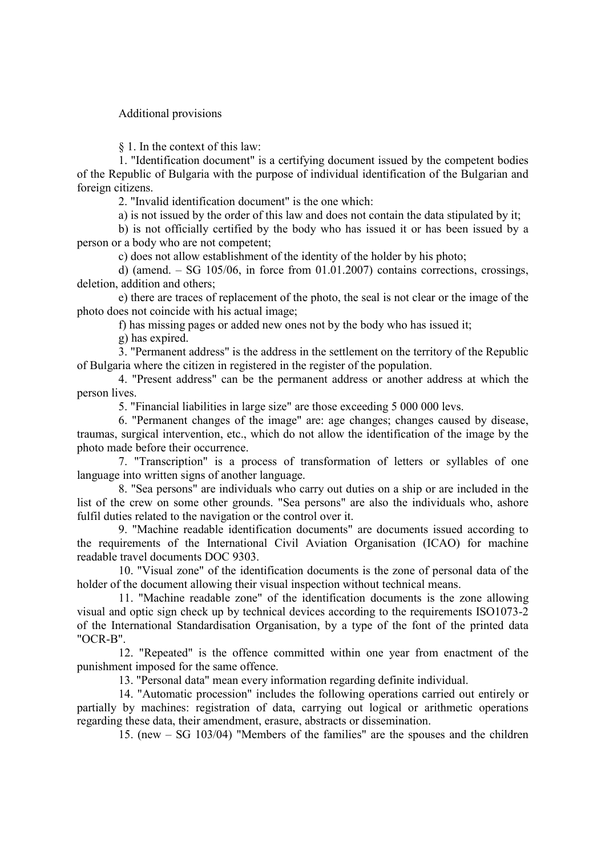#### Additional provisions

§ 1. In the context of this law:

1. "Identification document" is a certifying document issued by the competent bodies of the Republic of Bulgaria with the purpose of individual identification of the Bulgarian and foreign citizens.

2. "Invalid identification document" is the one which:

a) is not issued by the order of this law and does not contain the data stipulated by it;

b) is not officially certified by the body who has issued it or has been issued by a person or a body who are not competent;

c) does not allow establishment of the identity of the holder by his photo;

d) (amend.  $-$  SG 105/06, in force from 01.01.2007) contains corrections, crossings, deletion, addition and others;

e) there are traces of replacement of the photo, the seal is not clear or the image of the photo does not coincide with his actual image;

f) has missing pages or added new ones not by the body who has issued it;

g) has expired.

3. "Permanent address" is the address in the settlement on the territory of the Republic of Bulgaria where the citizen in registered in the register of the population.

4. "Present address" can be the permanent address or another address at which the person lives.

5. "Financial liabilities in large size" are those exceeding 5 000 000 levs.

6. "Permanent changes of the image" are: age changes; changes caused by disease, traumas, surgical intervention, etc., which do not allow the identification of the image by the photo made before their occurrence.

7. "Transcription" is a process of transformation of letters or syllables of one language into written signs of another language.

8. "Sea persons" are individuals who carry out duties on a ship or are included in the list of the crew on some other grounds. "Sea persons" are also the individuals who, ashore fulfil duties related to the navigation or the control over it.

9. "Machine readable identification documents" are documents issued according to the requirements of the International Civil Aviation Organisation (ICAO) for machine readable travel documents DOC 9303.

10. "Visual zone" of the identification documents is the zone of personal data of the holder of the document allowing their visual inspection without technical means.

11. "Machine readable zone" of the identification documents is the zone allowing visual and optic sign check up by technical devices according to the requirements ISO1073-2 of the International Standardisation Organisation, by a type of the font of the printed data "OCR-B".

12. "Repeated" is the offence committed within one year from enactment of the punishment imposed for the same offence.

13. "Personal data" mean every information regarding definite individual.

14. "Automatic procession" includes the following operations carried out entirely or partially by machines: registration of data, carrying out logical or arithmetic operations regarding these data, their amendment, erasure, abstracts or dissemination.

15. (new – SG 103/04) "Members of the families" are the spouses and the children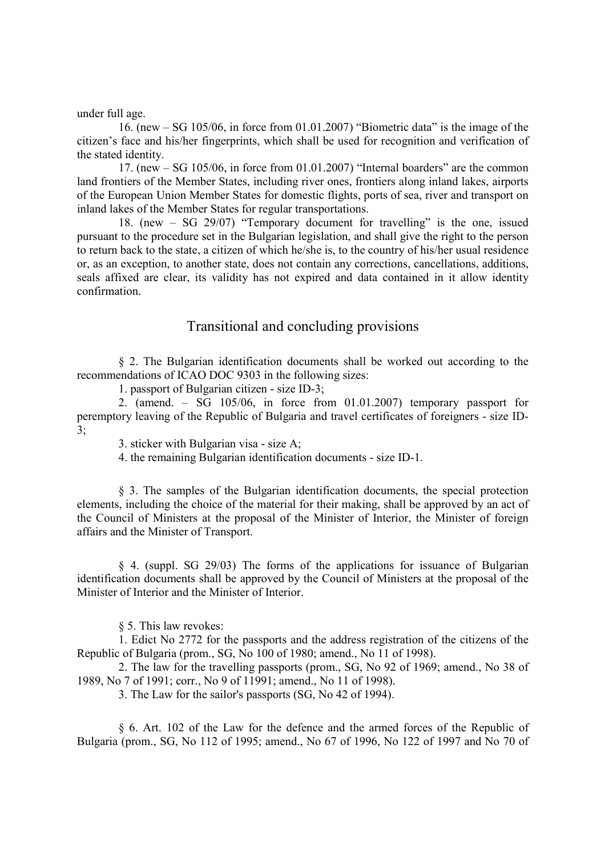under full age.

16. (new – SG 105/06, in force from 01.01.2007) "Biometric data" is the image of the citizen's face and his/her fingerprints, which shall be used for recognition and verification of the stated identity.

17. (new – SG 105/06, in force from 01.01.2007) "Internal boarders" are the common land frontiers of the Member States, including river ones, frontiers along inland lakes, airports of the European Union Member States for domestic flights, ports of sea, river and transport on inland lakes of the Member States for regular transportations.

18. (new – SG 29/07) "Temporary document for travelling" is the one, issued pursuant to the procedure set in the Bulgarian legislation, and shall give the right to the person to return back to the state, a citizen of which he/she is, to the country of his/her usual residence or, as an exception, to another state, does not contain any corrections, cancellations, additions, seals affixed are clear, its validity has not expired and data contained in it allow identity confirmation.

#### Transitional and concluding provisions

§ 2. The Bulgarian identification documents shall be worked out according to the recommendations of ICAO DOC 9303 in the following sizes:

1. passport of Bulgarian citizen - size ID-3;

2. (amend. – SG 105/06, in force from 01.01.2007) temporary passport for peremptory leaving of the Republic of Bulgaria and travel certificates of foreigners - size ID- $3:$ 

3. sticker with Bulgarian visa - size A;

4. the remaining Bulgarian identification documents - size ID-1.

§ 3. The samples of the Bulgarian identification documents, the special protection elements, including the choice of the material for their making, shall be approved by an act of the Council of Ministers at the proposal of the Minister of Interior, the Minister of foreign affairs and the Minister of Transport.

§ 4. (suppl. SG 29/03) The forms of the applications for issuance of Bulgarian identification documents shall be approved by the Council of Ministers at the proposal of the Minister of Interior and the Minister of Interior.

§ 5. This law revokes:

1. Edict No 2772 for the passports and the address registration of the citizens of the Republic of Bulgaria (prom., SG, No 100 of 1980; amend., No 11 of 1998).

2. The law for the travelling passports (prom., SG, No 92 of 1969; amend., No 38 of 1989, No 7 of 1991; corr., No 9 of 11991; amend., No 11 of 1998).

3. The Law for the sailor's passports (SG, No 42 of 1994).

§ 6. Art. 102 of the Law for the defence and the armed forces of the Republic of Bulgaria (prom., SG, No 112 of 1995; amend., No 67 of 1996, No 122 of 1997 and No 70 of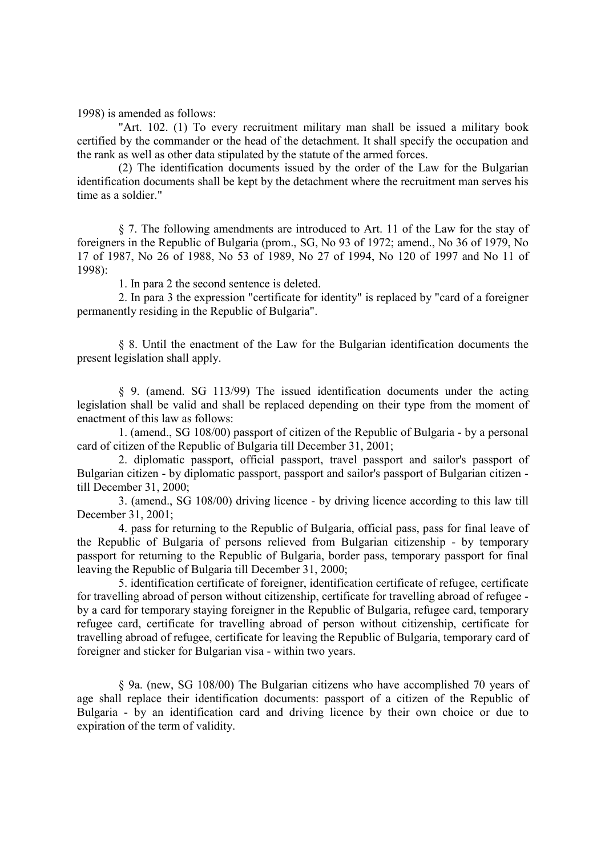1998) is amended as follows:

"Art. 102. (1) To every recruitment military man shall be issued a military book certified by the commander or the head of the detachment. It shall specify the occupation and the rank as well as other data stipulated by the statute of the armed forces.

(2) The identification documents issued by the order of the Law for the Bulgarian identification documents shall be kept by the detachment where the recruitment man serves his time as a soldier."

§ 7. The following amendments are introduced to Art. 11 of the Law for the stay of foreigners in the Republic of Bulgaria (prom., SG, No 93 of 1972; amend., No 36 of 1979, No 17 of 1987, No 26 of 1988, No 53 of 1989, No 27 of 1994, No 120 of 1997 and No 11 of 1998):

1. In para 2 the second sentence is deleted.

2. In para 3 the expression "certificate for identity" is replaced by "card of a foreigner permanently residing in the Republic of Bulgaria".

§ 8. Until the enactment of the Law for the Bulgarian identification documents the present legislation shall apply.

§ 9. (amend. SG 113/99) The issued identification documents under the acting legislation shall be valid and shall be replaced depending on their type from the moment of enactment of this law as follows:

1. (amend., SG 108/00) passport of citizen of the Republic of Bulgaria - by a personal card of citizen of the Republic of Bulgaria till December 31, 2001;

2. diplomatic passport, official passport, travel passport and sailor's passport of Bulgarian citizen - by diplomatic passport, passport and sailor's passport of Bulgarian citizen till December 31, 2000;

3. (amend., SG 108/00) driving licence - by driving licence according to this law till December 31, 2001;

4. pass for returning to the Republic of Bulgaria, official pass, pass for final leave of the Republic of Bulgaria of persons relieved from Bulgarian citizenship - by temporary passport for returning to the Republic of Bulgaria, border pass, temporary passport for final leaving the Republic of Bulgaria till December 31, 2000;

5. identification certificate of foreigner, identification certificate of refugee, certificate for travelling abroad of person without citizenship, certificate for travelling abroad of refugee by a card for temporary staying foreigner in the Republic of Bulgaria, refugee card, temporary refugee card, certificate for travelling abroad of person without citizenship, certificate for travelling abroad of refugee, certificate for leaving the Republic of Bulgaria, temporary card of foreigner and sticker for Bulgarian visa - within two years.

§ 9a. (new, SG 108/00) The Bulgarian citizens who have accomplished 70 years of age shall replace their identification documents: passport of a citizen of the Republic of Bulgaria - by an identification card and driving licence by their own choice or due to expiration of the term of validity.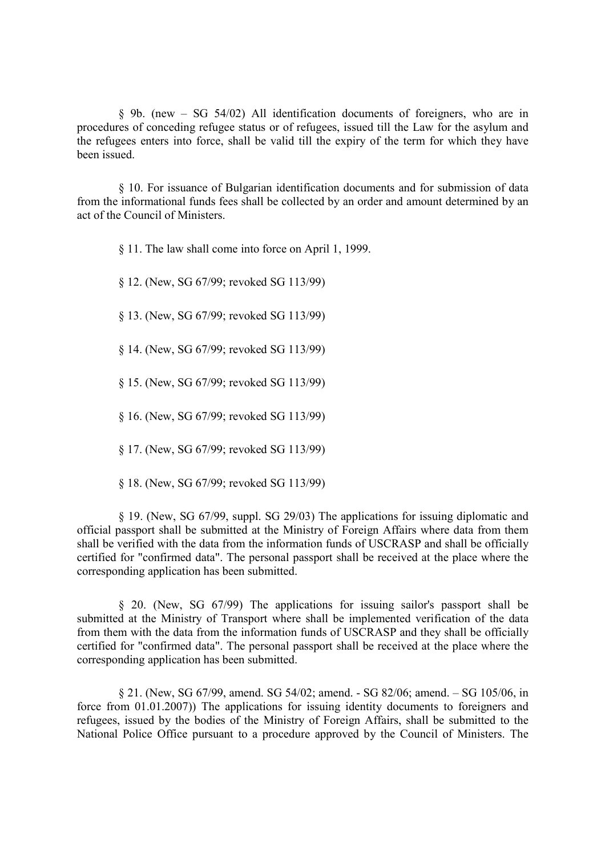§ 9b. (new – SG 54/02) All identification documents of foreigners, who are in procedures of conceding refugee status or of refugees, issued till the Law for the asylum and the refugees enters into force, shall be valid till the expiry of the term for which they have been issued.

§ 10. For issuance of Bulgarian identification documents and for submission of data from the informational funds fees shall be collected by an order and amount determined by an act of the Council of Ministers.

§ 11. The law shall come into force on April 1, 1999.

§ 12. (New, SG 67/99; revoked SG 113/99)

§ 13. (New, SG 67/99; revoked SG 113/99)

§ 14. (New, SG 67/99; revoked SG 113/99)

§ 15. (New, SG 67/99; revoked SG 113/99)

§ 16. (New, SG 67/99; revoked SG 113/99)

§ 17. (New, SG 67/99; revoked SG 113/99)

§ 18. (New, SG 67/99; revoked SG 113/99)

§ 19. (New, SG 67/99, suppl. SG 29/03) The applications for issuing diplomatic and official passport shall be submitted at the Ministry of Foreign Affairs where data from them shall be verified with the data from the information funds of USCRASP and shall be officially certified for "confirmed data". The personal passport shall be received at the place where the corresponding application has been submitted.

§ 20. (New, SG 67/99) The applications for issuing sailor's passport shall be submitted at the Ministry of Transport where shall be implemented verification of the data from them with the data from the information funds of USCRASP and they shall be officially certified for "confirmed data". The personal passport shall be received at the place where the corresponding application has been submitted.

§ 21. (New, SG 67/99, amend. SG 54/02; amend. - SG 82/06; amend. – SG 105/06, in force from 01.01.2007)) The applications for issuing identity documents to foreigners and refugees, issued by the bodies of the Ministry of Foreign Affairs, shall be submitted to the National Police Office pursuant to a procedure approved by the Council of Ministers. The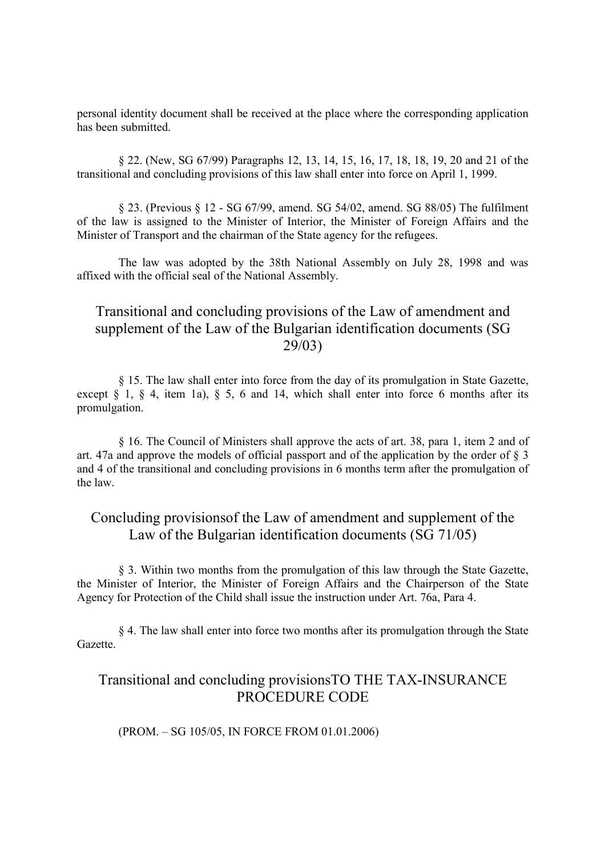personal identity document shall be received at the place where the corresponding application has been submitted.

§ 22. (New, SG 67/99) Paragraphs 12, 13, 14, 15, 16, 17, 18, 18, 19, 20 and 21 of the transitional and concluding provisions of this law shall enter into force on April 1, 1999.

§ 23. (Previous § 12 - SG 67/99, amend. SG 54/02, amend. SG 88/05) The fulfilment of the law is assigned to the Minister of Interior, the Minister of Foreign Affairs and the Minister of Transport and the chairman of the State agency for the refugees.

The law was adopted by the 38th National Assembly on July 28, 1998 and was affixed with the official seal of the National Assembly.

## Transitional and concluding provisions of the Law of amendment and supplement of the Law of the Bulgarian identification documents (SG 29/03)

§ 15. The law shall enter into force from the day of its promulgation in State Gazette, except  $\S$  1,  $\S$  4, item 1a),  $\S$  5, 6 and 14, which shall enter into force 6 months after its promulgation.

§ 16. The Council of Ministers shall approve the acts of art. 38, para 1, item 2 and of art. 47a and approve the models of official passport and of the application by the order of § 3 and 4 of the transitional and concluding provisions in 6 months term after the promulgation of the law.

### Concluding provisionsof the Law of amendment and supplement of the Law of the Bulgarian identification documents (SG 71/05)

§ 3. Within two months from the promulgation of this law through the State Gazette, the Minister of Interior, the Minister of Foreign Affairs and the Chairperson of the State Agency for Protection of the Child shall issue the instruction under Art. 76a, Para 4.

§ 4. The law shall enter into force two months after its promulgation through the State Gazette.

### Transitional and concluding provisionsTO THE TAX-INSURANCE PROCEDURE CODE

(PROM. – SG 105/05, IN FORCE FROM 01.01.2006)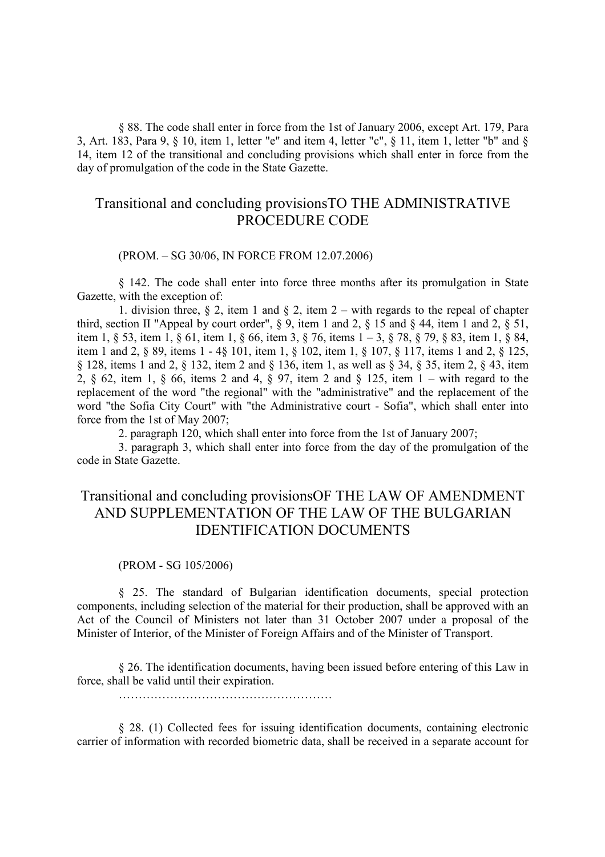§ 88. The code shall enter in force from the 1st of January 2006, except Art. 179, Para 3, Art. 183, Para 9, § 10, item 1, letter "e" and item 4, letter "c", § 11, item 1, letter "b" and § 14, item 12 of the transitional and concluding provisions which shall enter in force from the day of promulgation of the code in the State Gazette.

## Transitional and concluding provisionsTO THE ADMINISTRATIVE PROCEDURE CODE

(PROM. – SG 30/06, IN FORCE FROM 12.07.2006)

§ 142. The code shall enter into force three months after its promulgation in State Gazette, with the exception of:

1. division three,  $\S 2$ , item 1 and  $\S 2$ , item 2 – with regards to the repeal of chapter third, section II "Appeal by court order",  $\S$  9, item 1 and 2,  $\S$  15 and  $\S$  44, item 1 and 2,  $\S$  51, item 1, § 53, item 1, § 61, item 1, § 66, item 3, § 76, items 1 – 3, § 78, § 79, § 83, item 1, § 84, item 1 and 2, § 89, items 1 - 4§ 101, item 1, § 102, item 1, § 107, § 117, items 1 and 2, § 125, § 128, items 1 and 2, § 132, item 2 and § 136, item 1, as well as § 34, § 35, item 2, § 43, item 2, § 62, item 1, § 66, items 2 and 4, § 97, item 2 and § 125, item 1 – with regard to the replacement of the word "the regional" with the "administrative" and the replacement of the word "the Sofia City Court" with "the Administrative court - Sofia", which shall enter into force from the 1st of May 2007;

2. paragraph 120, which shall enter into force from the 1st of January 2007;

3. paragraph 3, which shall enter into force from the day of the promulgation of the code in State Gazette.

## Transitional and concluding provisionsOF THE LAW OF AMENDMENT AND SUPPLEMENTATION OF THE LAW OF THE BULGARIAN IDENTIFICATION DOCUMENTS

#### (PROM - SG 105/2006)

§ 25. Тhe standard of Bulgarian identification documents, special protection components, including selection of the material for their production, shall be approved with an Act of the Council of Ministers not later than 31 October 2007 under a proposal of the Minister of Interior, of the Minister of Foreign Affairs and of the Minister of Transport.

§ 26. The identification documents, having been issued before entering of this Law in force, shall be valid until their expiration.

………………………………………………

§ 28. (1) Collected fees for issuing identification documents, containing electronic carrier of information with recorded biometric data, shall be received in a separate account for